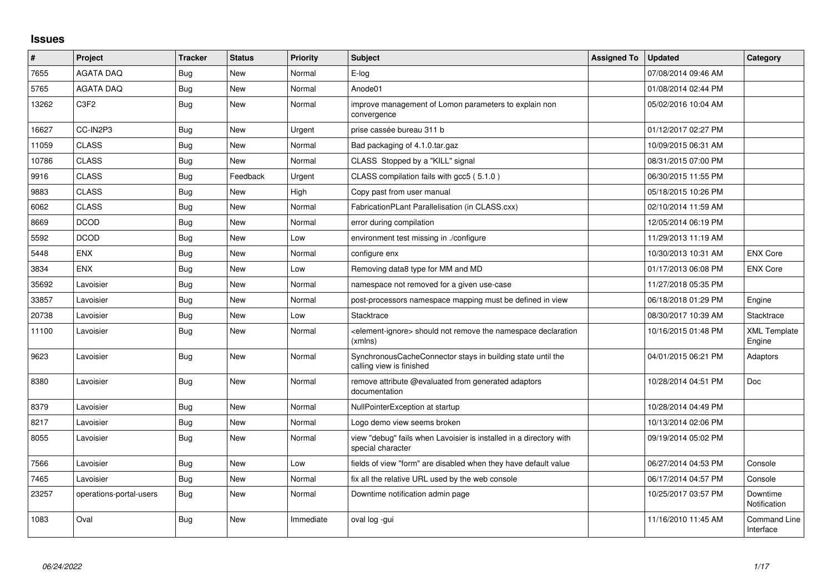## **Issues**

| #     | Project                 | <b>Tracker</b> | <b>Status</b> | Priority  | <b>Subject</b>                                                                            | <b>Assigned To</b> | <b>Updated</b>      | Category                         |
|-------|-------------------------|----------------|---------------|-----------|-------------------------------------------------------------------------------------------|--------------------|---------------------|----------------------------------|
| 7655  | <b>AGATA DAQ</b>        | Bug            | <b>New</b>    | Normal    | $E$ -log                                                                                  |                    | 07/08/2014 09:46 AM |                                  |
| 5765  | <b>AGATA DAQ</b>        | <b>Bug</b>     | New           | Normal    | Anode01                                                                                   |                    | 01/08/2014 02:44 PM |                                  |
| 13262 | C <sub>3F2</sub>        | Bug            | New           | Normal    | improve management of Lomon parameters to explain non<br>convergence                      |                    | 05/02/2016 10:04 AM |                                  |
| 16627 | CC-IN2P3                | Bug            | <b>New</b>    | Urgent    | prise cassée bureau 311 b                                                                 |                    | 01/12/2017 02:27 PM |                                  |
| 11059 | <b>CLASS</b>            | <b>Bug</b>     | New           | Normal    | Bad packaging of 4.1.0.tar.gaz                                                            |                    | 10/09/2015 06:31 AM |                                  |
| 10786 | <b>CLASS</b>            | <b>Bug</b>     | <b>New</b>    | Normal    | CLASS Stopped by a "KILL" signal                                                          |                    | 08/31/2015 07:00 PM |                                  |
| 9916  | <b>CLASS</b>            | Bug            | Feedback      | Urgent    | CLASS compilation fails with gcc5 (5.1.0)                                                 |                    | 06/30/2015 11:55 PM |                                  |
| 9883  | <b>CLASS</b>            | <b>Bug</b>     | <b>New</b>    | High      | Copy past from user manual                                                                |                    | 05/18/2015 10:26 PM |                                  |
| 6062  | CLASS                   | Bug            | New           | Normal    | FabricationPLant Parallelisation (in CLASS.cxx)                                           |                    | 02/10/2014 11:59 AM |                                  |
| 8669  | <b>DCOD</b>             | Bug            | <b>New</b>    | Normal    | error during compilation                                                                  |                    | 12/05/2014 06:19 PM |                                  |
| 5592  | <b>DCOD</b>             | <b>Bug</b>     | New           | Low       | environment test missing in ./configure                                                   |                    | 11/29/2013 11:19 AM |                                  |
| 5448  | <b>ENX</b>              | Bug            | New           | Normal    | configure enx                                                                             |                    | 10/30/2013 10:31 AM | <b>ENX Core</b>                  |
| 3834  | <b>ENX</b>              | Bug            | <b>New</b>    | Low       | Removing data8 type for MM and MD                                                         |                    | 01/17/2013 06:08 PM | <b>ENX Core</b>                  |
| 35692 | Lavoisier               | <b>Bug</b>     | New           | Normal    | namespace not removed for a given use-case                                                |                    | 11/27/2018 05:35 PM |                                  |
| 33857 | Lavoisier               | <b>Bug</b>     | <b>New</b>    | Normal    | post-processors namespace mapping must be defined in view                                 |                    | 06/18/2018 01:29 PM | Engine                           |
| 20738 | Lavoisier               | Bug            | New           | Low       | Stacktrace                                                                                |                    | 08/30/2017 10:39 AM | Stacktrace                       |
| 11100 | Lavoisier               | Bug            | New           | Normal    | <element-ignore> should not remove the namespace declaration<br/>(xmlns)</element-ignore> |                    | 10/16/2015 01:48 PM | <b>XML Template</b><br>Engine    |
| 9623  | Lavoisier               | Bug            | New           | Normal    | SynchronousCacheConnector stays in building state until the<br>calling view is finished   |                    | 04/01/2015 06:21 PM | Adaptors                         |
| 8380  | Lavoisier               | Bug            | <b>New</b>    | Normal    | remove attribute @evaluated from generated adaptors<br>documentation                      |                    | 10/28/2014 04:51 PM | Doc                              |
| 8379  | Lavoisier               | Bug            | New           | Normal    | NullPointerException at startup                                                           |                    | 10/28/2014 04:49 PM |                                  |
| 8217  | Lavoisier               | Bug            | New           | Normal    | Logo demo view seems broken                                                               |                    | 10/13/2014 02:06 PM |                                  |
| 8055  | Lavoisier               | Bug            | <b>New</b>    | Normal    | view "debug" fails when Lavoisier is installed in a directory with<br>special character   |                    | 09/19/2014 05:02 PM |                                  |
| 7566  | Lavoisier               | <b>Bug</b>     | <b>New</b>    | Low       | fields of view "form" are disabled when they have default value                           |                    | 06/27/2014 04:53 PM | Console                          |
| 7465  | Lavoisier               | Bug            | <b>New</b>    | Normal    | fix all the relative URL used by the web console                                          |                    | 06/17/2014 04:57 PM | Console                          |
| 23257 | operations-portal-users | Bug            | New           | Normal    | Downtime notification admin page                                                          |                    | 10/25/2017 03:57 PM | Downtime<br>Notification         |
| 1083  | Oval                    | <b>Bug</b>     | <b>New</b>    | Immediate | oval log -gui                                                                             |                    | 11/16/2010 11:45 AM | <b>Command Line</b><br>Interface |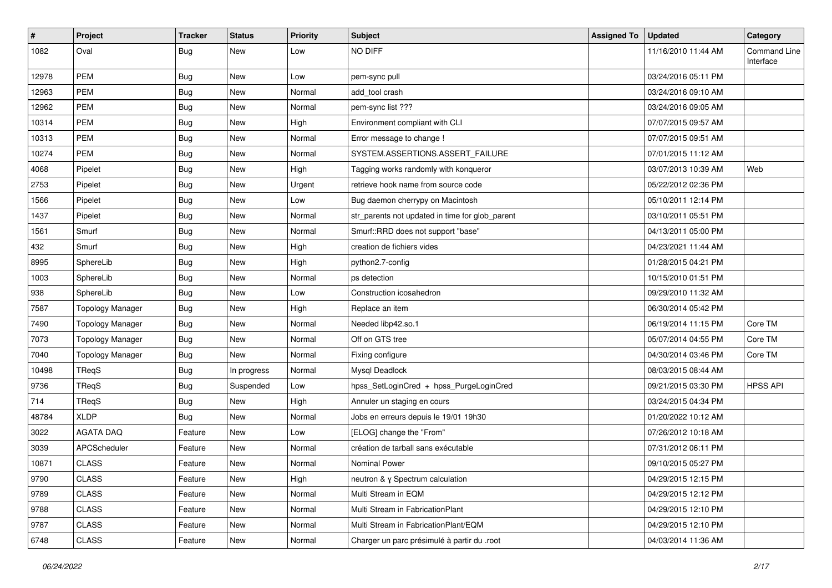| $\pmb{\#}$ | Project                 | <b>Tracker</b> | <b>Status</b> | <b>Priority</b> | <b>Subject</b>                                  | <b>Assigned To</b> | <b>Updated</b>      | Category                  |
|------------|-------------------------|----------------|---------------|-----------------|-------------------------------------------------|--------------------|---------------------|---------------------------|
| 1082       | Oval                    | Bug            | New           | Low             | NO DIFF                                         |                    | 11/16/2010 11:44 AM | Command Line<br>Interface |
| 12978      | <b>PEM</b>              | Bug            | New           | Low             | pem-sync pull                                   |                    | 03/24/2016 05:11 PM |                           |
| 12963      | <b>PEM</b>              | Bug            | <b>New</b>    | Normal          | add_tool crash                                  |                    | 03/24/2016 09:10 AM |                           |
| 12962      | <b>PEM</b>              | Bug            | New           | Normal          | pem-sync list ???                               |                    | 03/24/2016 09:05 AM |                           |
| 10314      | <b>PEM</b>              | <b>Bug</b>     | New           | High            | Environment compliant with CLI                  |                    | 07/07/2015 09:57 AM |                           |
| 10313      | PEM                     | <b>Bug</b>     | <b>New</b>    | Normal          | Error message to change !                       |                    | 07/07/2015 09:51 AM |                           |
| 10274      | PEM                     | <b>Bug</b>     | New           | Normal          | SYSTEM.ASSERTIONS.ASSERT_FAILURE                |                    | 07/01/2015 11:12 AM |                           |
| 4068       | Pipelet                 | Bug            | New           | High            | Tagging works randomly with konqueror           |                    | 03/07/2013 10:39 AM | Web                       |
| 2753       | Pipelet                 | <b>Bug</b>     | New           | Urgent          | retrieve hook name from source code             |                    | 05/22/2012 02:36 PM |                           |
| 1566       | Pipelet                 | <b>Bug</b>     | New           | Low             | Bug daemon cherrypy on Macintosh                |                    | 05/10/2011 12:14 PM |                           |
| 1437       | Pipelet                 | <b>Bug</b>     | <b>New</b>    | Normal          | str_parents not updated in time for glob_parent |                    | 03/10/2011 05:51 PM |                           |
| 1561       | Smurf                   | <b>Bug</b>     | New           | Normal          | Smurf::RRD does not support "base"              |                    | 04/13/2011 05:00 PM |                           |
| 432        | Smurf                   | Bug            | New           | High            | creation de fichiers vides                      |                    | 04/23/2021 11:44 AM |                           |
| 8995       | SphereLib               | <b>Bug</b>     | <b>New</b>    | High            | python2.7-config                                |                    | 01/28/2015 04:21 PM |                           |
| 1003       | SphereLib               | <b>Bug</b>     | New           | Normal          | ps detection                                    |                    | 10/15/2010 01:51 PM |                           |
| 938        | SphereLib               | <b>Bug</b>     | New           | Low             | Construction icosahedron                        |                    | 09/29/2010 11:32 AM |                           |
| 7587       | <b>Topology Manager</b> | Bug            | New           | High            | Replace an item                                 |                    | 06/30/2014 05:42 PM |                           |
| 7490       | <b>Topology Manager</b> | <b>Bug</b>     | New           | Normal          | Needed libp42.so.1                              |                    | 06/19/2014 11:15 PM | Core TM                   |
| 7073       | <b>Topology Manager</b> | <b>Bug</b>     | New           | Normal          | Off on GTS tree                                 |                    | 05/07/2014 04:55 PM | Core TM                   |
| 7040       | <b>Topology Manager</b> | <b>Bug</b>     | New           | Normal          | Fixing configure                                |                    | 04/30/2014 03:46 PM | Core TM                   |
| 10498      | TReqS                   | Bug            | In progress   | Normal          | Mysql Deadlock                                  |                    | 08/03/2015 08:44 AM |                           |
| 9736       | TReqS                   | Bug            | Suspended     | Low             | hpss_SetLoginCred + hpss_PurgeLoginCred         |                    | 09/21/2015 03:30 PM | <b>HPSS API</b>           |
| 714        | TReqS                   | <b>Bug</b>     | <b>New</b>    | High            | Annuler un staging en cours                     |                    | 03/24/2015 04:34 PM |                           |
| 48784      | <b>XLDP</b>             | <b>Bug</b>     | <b>New</b>    | Normal          | Jobs en erreurs depuis le 19/01 19h30           |                    | 01/20/2022 10:12 AM |                           |
| 3022       | <b>AGATA DAQ</b>        | Feature        | New           | Low             | [ELOG] change the "From"                        |                    | 07/26/2012 10:18 AM |                           |
| 3039       | APCScheduler            | Feature        | New           | Normal          | création de tarball sans exécutable             |                    | 07/31/2012 06:11 PM |                           |
| 10871      | <b>CLASS</b>            | Feature        | New           | Normal          | Nominal Power                                   |                    | 09/10/2015 05:27 PM |                           |
| 9790       | <b>CLASS</b>            | Feature        | New           | High            | neutron & γ Spectrum calculation                |                    | 04/29/2015 12:15 PM |                           |
| 9789       | <b>CLASS</b>            | Feature        | <b>New</b>    | Normal          | Multi Stream in EQM                             |                    | 04/29/2015 12:12 PM |                           |
| 9788       | <b>CLASS</b>            | Feature        | New           | Normal          | Multi Stream in FabricationPlant                |                    | 04/29/2015 12:10 PM |                           |
| 9787       | <b>CLASS</b>            | Feature        | New           | Normal          | Multi Stream in FabricationPlant/EQM            |                    | 04/29/2015 12:10 PM |                           |
| 6748       | <b>CLASS</b>            | Feature        | New           | Normal          | Charger un parc présimulé à partir du .root     |                    | 04/03/2014 11:36 AM |                           |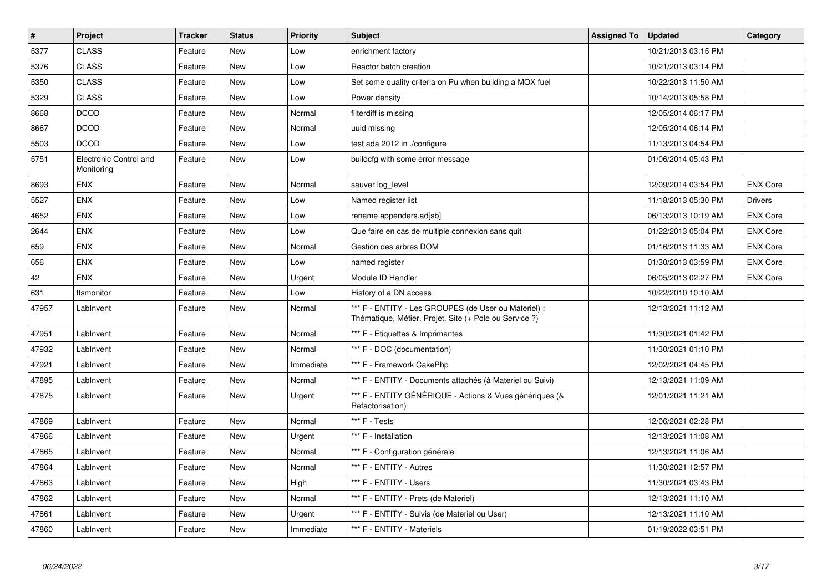| $\vert$ # | <b>Project</b>                       | <b>Tracker</b> | <b>Status</b> | <b>Priority</b> | <b>Subject</b>                                                                                                 | <b>Assigned To</b> | <b>Updated</b>      | Category        |
|-----------|--------------------------------------|----------------|---------------|-----------------|----------------------------------------------------------------------------------------------------------------|--------------------|---------------------|-----------------|
| 5377      | <b>CLASS</b>                         | Feature        | New           | Low             | enrichment factory                                                                                             |                    | 10/21/2013 03:15 PM |                 |
| 5376      | <b>CLASS</b>                         | Feature        | New           | Low             | Reactor batch creation                                                                                         |                    | 10/21/2013 03:14 PM |                 |
| 5350      | <b>CLASS</b>                         | Feature        | New           | Low             | Set some quality criteria on Pu when building a MOX fuel                                                       |                    | 10/22/2013 11:50 AM |                 |
| 5329      | <b>CLASS</b>                         | Feature        | New           | Low             | Power density                                                                                                  |                    | 10/14/2013 05:58 PM |                 |
| 8668      | <b>DCOD</b>                          | Feature        | New           | Normal          | filterdiff is missing                                                                                          |                    | 12/05/2014 06:17 PM |                 |
| 8667      | <b>DCOD</b>                          | Feature        | <b>New</b>    | Normal          | uuid missing                                                                                                   |                    | 12/05/2014 06:14 PM |                 |
| 5503      | <b>DCOD</b>                          | Feature        | New           | Low             | test ada 2012 in ./configure                                                                                   |                    | 11/13/2013 04:54 PM |                 |
| 5751      | Electronic Control and<br>Monitoring | Feature        | New           | Low             | buildcfg with some error message                                                                               |                    | 01/06/2014 05:43 PM |                 |
| 8693      | <b>ENX</b>                           | Feature        | <b>New</b>    | Normal          | sauver log_level                                                                                               |                    | 12/09/2014 03:54 PM | <b>ENX Core</b> |
| 5527      | <b>ENX</b>                           | Feature        | <b>New</b>    | Low             | Named register list                                                                                            |                    | 11/18/2013 05:30 PM | <b>Drivers</b>  |
| 4652      | <b>ENX</b>                           | Feature        | <b>New</b>    | Low             | rename appenders.ad[sb]                                                                                        |                    | 06/13/2013 10:19 AM | <b>ENX Core</b> |
| 2644      | <b>ENX</b>                           | Feature        | <b>New</b>    | Low             | Que faire en cas de multiple connexion sans quit                                                               |                    | 01/22/2013 05:04 PM | <b>ENX Core</b> |
| 659       | <b>ENX</b>                           | Feature        | New           | Normal          | Gestion des arbres DOM                                                                                         |                    | 01/16/2013 11:33 AM | <b>ENX Core</b> |
| 656       | <b>ENX</b>                           | Feature        | <b>New</b>    | Low             | named register                                                                                                 |                    | 01/30/2013 03:59 PM | <b>ENX Core</b> |
| 42        | <b>ENX</b>                           | Feature        | New           | Urgent          | Module ID Handler                                                                                              |                    | 06/05/2013 02:27 PM | <b>ENX Core</b> |
| 631       | ftsmonitor                           | Feature        | <b>New</b>    | Low             | History of a DN access                                                                                         |                    | 10/22/2010 10:10 AM |                 |
| 47957     | LabInvent                            | Feature        | New           | Normal          | *** F - ENTITY - Les GROUPES (de User ou Materiel) :<br>Thématique, Métier, Projet, Site (+ Pole ou Service ?) |                    | 12/13/2021 11:12 AM |                 |
| 47951     | LabInvent                            | Feature        | <b>New</b>    | Normal          | *** F - Etiquettes & Imprimantes                                                                               |                    | 11/30/2021 01:42 PM |                 |
| 47932     | LabInvent                            | Feature        | New           | Normal          | *** F - DOC (documentation)                                                                                    |                    | 11/30/2021 01:10 PM |                 |
| 47921     | LabInvent                            | Feature        | New           | Immediate       | *** F - Framework CakePhp                                                                                      |                    | 12/02/2021 04:45 PM |                 |
| 47895     | LabInvent                            | Feature        | New           | Normal          | *** F - ENTITY - Documents attachés (à Materiel ou Suivi)                                                      |                    | 12/13/2021 11:09 AM |                 |
| 47875     | LabInvent                            | Feature        | New           | Urgent          | *** F - ENTITY GÉNÉRIQUE - Actions & Vues génériques (&<br>Refactorisation)                                    |                    | 12/01/2021 11:21 AM |                 |
| 47869     | LabInvent                            | Feature        | <b>New</b>    | Normal          | *** F - Tests                                                                                                  |                    | 12/06/2021 02:28 PM |                 |
| 47866     | LabInvent                            | Feature        | New           | Urgent          | *** F - Installation                                                                                           |                    | 12/13/2021 11:08 AM |                 |
| 47865     | LabInvent                            | Feature        | New           | Normal          | *** F - Configuration générale                                                                                 |                    | 12/13/2021 11:06 AM |                 |
| 47864     | LabInvent                            | Feature        | New           | Normal          | *** F - ENTITY - Autres                                                                                        |                    | 11/30/2021 12:57 PM |                 |
| 47863     | LabInvent                            | Feature        | New           | High            | *** F - ENTITY - Users                                                                                         |                    | 11/30/2021 03:43 PM |                 |
| 47862     | LabInvent                            | Feature        | New           | Normal          | *** F - ENTITY - Prets (de Materiel)                                                                           |                    | 12/13/2021 11:10 AM |                 |
| 47861     | LabInvent                            | Feature        | New           | Urgent          | *** F - ENTITY - Suivis (de Materiel ou User)                                                                  |                    | 12/13/2021 11:10 AM |                 |
| 47860     | LabInvent                            | Feature        | New           | Immediate       | *** F - ENTITY - Materiels                                                                                     |                    | 01/19/2022 03:51 PM |                 |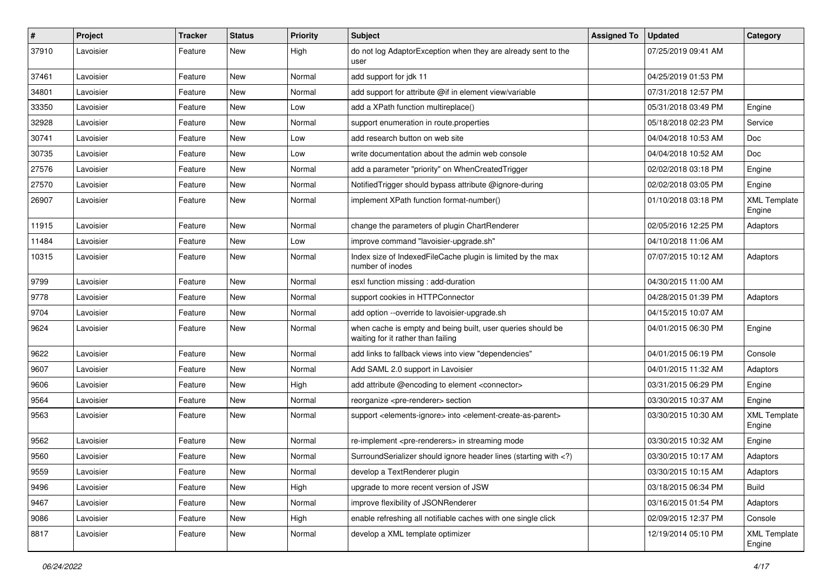| $\pmb{\#}$ | Project   | <b>Tracker</b> | <b>Status</b> | <b>Priority</b> | <b>Subject</b>                                                                                                              | <b>Assigned To</b> | <b>Updated</b>      | Category                      |
|------------|-----------|----------------|---------------|-----------------|-----------------------------------------------------------------------------------------------------------------------------|--------------------|---------------------|-------------------------------|
| 37910      | Lavoisier | Feature        | New           | High            | do not log AdaptorException when they are already sent to the<br>user                                                       |                    | 07/25/2019 09:41 AM |                               |
| 37461      | Lavoisier | Feature        | New           | Normal          | add support for jdk 11                                                                                                      |                    | 04/25/2019 01:53 PM |                               |
| 34801      | Lavoisier | Feature        | <b>New</b>    | Normal          | add support for attribute @if in element view/variable                                                                      |                    | 07/31/2018 12:57 PM |                               |
| 33350      | Lavoisier | Feature        | New           | Low             | add a XPath function multireplace()                                                                                         |                    | 05/31/2018 03:49 PM | Engine                        |
| 32928      | Lavoisier | Feature        | <b>New</b>    | Normal          | support enumeration in route properties                                                                                     |                    | 05/18/2018 02:23 PM | Service                       |
| 30741      | Lavoisier | Feature        | <b>New</b>    | Low             | add research button on web site                                                                                             |                    | 04/04/2018 10:53 AM | Doc                           |
| 30735      | Lavoisier | Feature        | New           | Low             | write documentation about the admin web console                                                                             |                    | 04/04/2018 10:52 AM | <b>Doc</b>                    |
| 27576      | Lavoisier | Feature        | New           | Normal          | add a parameter "priority" on WhenCreatedTrigger                                                                            |                    | 02/02/2018 03:18 PM | Engine                        |
| 27570      | Lavoisier | Feature        | <b>New</b>    | Normal          | NotifiedTrigger should bypass attribute @ignore-during                                                                      |                    | 02/02/2018 03:05 PM | Engine                        |
| 26907      | Lavoisier | Feature        | New           | Normal          | implement XPath function format-number()                                                                                    |                    | 01/10/2018 03:18 PM | <b>XML Template</b><br>Engine |
| 11915      | Lavoisier | Feature        | <b>New</b>    | Normal          | change the parameters of plugin ChartRenderer                                                                               |                    | 02/05/2016 12:25 PM | Adaptors                      |
| 11484      | Lavoisier | Feature        | New           | Low             | improve command "lavoisier-upgrade.sh"                                                                                      |                    | 04/10/2018 11:06 AM |                               |
| 10315      | Lavoisier | Feature        | <b>New</b>    | Normal          | Index size of IndexedFileCache plugin is limited by the max<br>number of inodes                                             |                    | 07/07/2015 10:12 AM | Adaptors                      |
| 9799       | Lavoisier | Feature        | <b>New</b>    | Normal          | esxl function missing : add-duration                                                                                        |                    | 04/30/2015 11:00 AM |                               |
| 9778       | Lavoisier | Feature        | New           | Normal          | support cookies in HTTPConnector                                                                                            |                    | 04/28/2015 01:39 PM | Adaptors                      |
| 9704       | Lavoisier | Feature        | New           | Normal          | add option --override to lavoisier-upgrade.sh                                                                               |                    | 04/15/2015 10:07 AM |                               |
| 9624       | Lavoisier | Feature        | New           | Normal          | when cache is empty and being built, user queries should be<br>waiting for it rather than failing                           |                    | 04/01/2015 06:30 PM | Engine                        |
| 9622       | Lavoisier | Feature        | New           | Normal          | add links to fallback views into view "dependencies"                                                                        |                    | 04/01/2015 06:19 PM | Console                       |
| 9607       | Lavoisier | Feature        | <b>New</b>    | Normal          | Add SAML 2.0 support in Lavoisier                                                                                           |                    | 04/01/2015 11:32 AM | Adaptors                      |
| 9606       | Lavoisier | Feature        | New           | High            | add attribute @encoding to element <connector></connector>                                                                  |                    | 03/31/2015 06:29 PM | Engine                        |
| 9564       | Lavoisier | Feature        | New           | Normal          | reorganize <pre-renderer> section</pre-renderer>                                                                            |                    | 03/30/2015 10:37 AM | Engine                        |
| 9563       | Lavoisier | Feature        | <b>New</b>    | Normal          | support <elements-ignore> into <element-create-as-parent></element-create-as-parent></elements-ignore>                      |                    | 03/30/2015 10:30 AM | <b>XML Template</b><br>Engine |
| 9562       | Lavoisier | Feature        | <b>New</b>    | Normal          | re-implement <pre-renderers> in streaming mode</pre-renderers>                                                              |                    | 03/30/2015 10:32 AM | Engine                        |
| 9560       | Lavoisier | Feature        | New           | Normal          | SurroundSerializer should ignore header lines (starting with )</td <td></td> <td>03/30/2015 10:17 AM</td> <td>Adaptors</td> |                    | 03/30/2015 10:17 AM | Adaptors                      |
| 9559       | Lavoisier | Feature        | New           | Normal          | develop a TextRenderer plugin                                                                                               |                    | 03/30/2015 10:15 AM | Adaptors                      |
| 9496       | Lavoisier | Feature        | <b>New</b>    | High            | upgrade to more recent version of JSW                                                                                       |                    | 03/18/2015 06:34 PM | <b>Build</b>                  |
| 9467       | Lavoisier | Feature        | New           | Normal          | improve flexibility of JSONRenderer                                                                                         |                    | 03/16/2015 01:54 PM | Adaptors                      |
| 9086       | Lavoisier | Feature        | New           | High            | enable refreshing all notifiable caches with one single click                                                               |                    | 02/09/2015 12:37 PM | Console                       |
| 8817       | Lavoisier | Feature        | New           | Normal          | develop a XML template optimizer                                                                                            |                    | 12/19/2014 05:10 PM | <b>XML Template</b><br>Engine |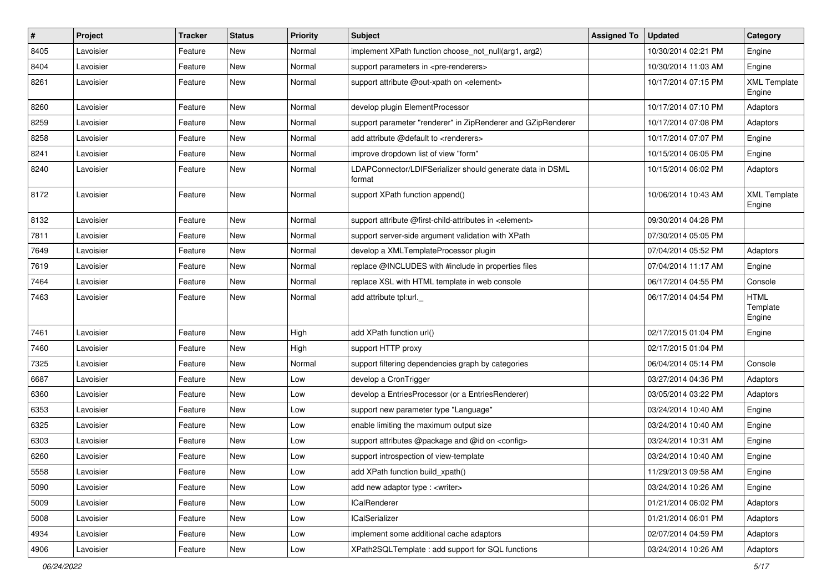| $\vert$ # | Project   | <b>Tracker</b> | <b>Status</b> | <b>Priority</b> | <b>Subject</b>                                                      | <b>Assigned To</b> | <b>Updated</b>      | Category                          |
|-----------|-----------|----------------|---------------|-----------------|---------------------------------------------------------------------|--------------------|---------------------|-----------------------------------|
| 8405      | Lavoisier | Feature        | New           | Normal          | implement XPath function choose_not_null(arg1, arg2)                |                    | 10/30/2014 02:21 PM | Engine                            |
| 8404      | Lavoisier | Feature        | <b>New</b>    | Normal          | support parameters in <pre-renderers></pre-renderers>               |                    | 10/30/2014 11:03 AM | Engine                            |
| 8261      | Lavoisier | Feature        | New           | Normal          | support attribute @out-xpath on <element></element>                 |                    | 10/17/2014 07:15 PM | <b>XML Template</b><br>Engine     |
| 8260      | Lavoisier | Feature        | <b>New</b>    | Normal          | develop plugin ElementProcessor                                     |                    | 10/17/2014 07:10 PM | Adaptors                          |
| 8259      | Lavoisier | Feature        | New           | Normal          | support parameter "renderer" in ZipRenderer and GZipRenderer        |                    | 10/17/2014 07:08 PM | Adaptors                          |
| 8258      | Lavoisier | Feature        | New           | Normal          | add attribute @default to <renderers></renderers>                   |                    | 10/17/2014 07:07 PM | Engine                            |
| 8241      | Lavoisier | Feature        | New           | Normal          | improve dropdown list of view "form"                                |                    | 10/15/2014 06:05 PM | Engine                            |
| 8240      | Lavoisier | Feature        | New           | Normal          | LDAPConnector/LDIFSerializer should generate data in DSML<br>format |                    | 10/15/2014 06:02 PM | Adaptors                          |
| 8172      | Lavoisier | Feature        | New           | Normal          | support XPath function append()                                     |                    | 10/06/2014 10:43 AM | <b>XML Template</b><br>Engine     |
| 8132      | Lavoisier | Feature        | <b>New</b>    | Normal          | support attribute @first-child-attributes in <element></element>    |                    | 09/30/2014 04:28 PM |                                   |
| 7811      | Lavoisier | Feature        | New           | Normal          | support server-side argument validation with XPath                  |                    | 07/30/2014 05:05 PM |                                   |
| 7649      | Lavoisier | Feature        | New           | Normal          | develop a XMLTemplateProcessor plugin                               |                    | 07/04/2014 05:52 PM | Adaptors                          |
| 7619      | Lavoisier | Feature        | New           | Normal          | replace @INCLUDES with #include in properties files                 |                    | 07/04/2014 11:17 AM | Engine                            |
| 7464      | Lavoisier | Feature        | New           | Normal          | replace XSL with HTML template in web console                       |                    | 06/17/2014 04:55 PM | Console                           |
| 7463      | Lavoisier | Feature        | <b>New</b>    | Normal          | add attribute tpl:url.                                              |                    | 06/17/2014 04:54 PM | <b>HTML</b><br>Template<br>Engine |
| 7461      | Lavoisier | Feature        | <b>New</b>    | High            | add XPath function url()                                            |                    | 02/17/2015 01:04 PM | Engine                            |
| 7460      | Lavoisier | Feature        | New           | High            | support HTTP proxy                                                  |                    | 02/17/2015 01:04 PM |                                   |
| 7325      | Lavoisier | Feature        | New           | Normal          | support filtering dependencies graph by categories                  |                    | 06/04/2014 05:14 PM | Console                           |
| 6687      | Lavoisier | Feature        | New           | Low             | develop a CronTrigger                                               |                    | 03/27/2014 04:36 PM | Adaptors                          |
| 6360      | Lavoisier | Feature        | <b>New</b>    | Low             | develop a EntriesProcessor (or a EntriesRenderer)                   |                    | 03/05/2014 03:22 PM | Adaptors                          |
| 6353      | Lavoisier | Feature        | <b>New</b>    | Low             | support new parameter type "Language"                               |                    | 03/24/2014 10:40 AM | Engine                            |
| 6325      | Lavoisier | Feature        | New           | Low             | enable limiting the maximum output size                             |                    | 03/24/2014 10:40 AM | Engine                            |
| 6303      | Lavoisier | Feature        | <b>New</b>    | Low             | support attributes @package and @id on <config></config>            |                    | 03/24/2014 10:31 AM | Engine                            |
| 6260      | Lavoisier | Feature        | New           | Low             | support introspection of view-template                              |                    | 03/24/2014 10:40 AM | Engine                            |
| 5558      | Lavoisier | Feature        | New           | Low             | add XPath function build_xpath()                                    |                    | 11/29/2013 09:58 AM | Engine                            |
| 5090      | Lavoisier | Feature        | New           | Low             | add new adaptor type : <writer></writer>                            |                    | 03/24/2014 10:26 AM | Engine                            |
| 5009      | Lavoisier | Feature        | New           | Low             | ICalRenderer                                                        |                    | 01/21/2014 06:02 PM | Adaptors                          |
| 5008      | Lavoisier | Feature        | New           | Low             | <b>ICalSerializer</b>                                               |                    | 01/21/2014 06:01 PM | Adaptors                          |
| 4934      | Lavoisier | Feature        | New           | Low             | implement some additional cache adaptors                            |                    | 02/07/2014 04:59 PM | Adaptors                          |
| 4906      | Lavoisier | Feature        | New           | Low             | XPath2SQLTemplate: add support for SQL functions                    |                    | 03/24/2014 10:26 AM | Adaptors                          |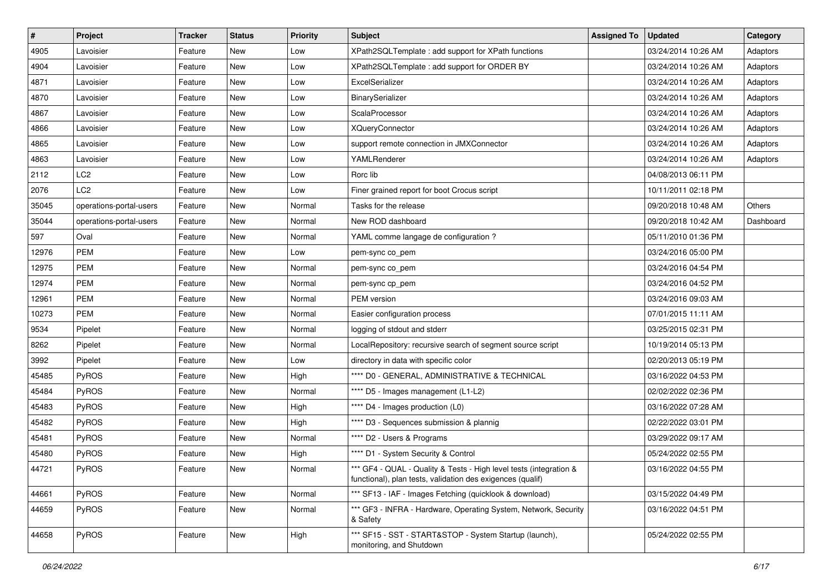| $\sharp$ | Project                 | Tracker | <b>Status</b> | <b>Priority</b> | Subject                                                                                                                          | <b>Assigned To</b> | <b>Updated</b>      | Category  |
|----------|-------------------------|---------|---------------|-----------------|----------------------------------------------------------------------------------------------------------------------------------|--------------------|---------------------|-----------|
| 4905     | Lavoisier               | Feature | New           | Low             | XPath2SQLTemplate : add support for XPath functions                                                                              |                    | 03/24/2014 10:26 AM | Adaptors  |
| 4904     | Lavoisier               | Feature | New           | Low             | XPath2SQLTemplate : add support for ORDER BY                                                                                     |                    | 03/24/2014 10:26 AM | Adaptors  |
| 4871     | Lavoisier               | Feature | New           | Low             | ExcelSerializer                                                                                                                  |                    | 03/24/2014 10:26 AM | Adaptors  |
| 4870     | Lavoisier               | Feature | New           | Low             | BinarySerializer                                                                                                                 |                    | 03/24/2014 10:26 AM | Adaptors  |
| 4867     | Lavoisier               | Feature | New           | Low             | ScalaProcessor                                                                                                                   |                    | 03/24/2014 10:26 AM | Adaptors  |
| 4866     | Lavoisier               | Feature | New           | Low             | <b>XQueryConnector</b>                                                                                                           |                    | 03/24/2014 10:26 AM | Adaptors  |
| 4865     | Lavoisier               | Feature | <b>New</b>    | Low             | support remote connection in JMXConnector                                                                                        |                    | 03/24/2014 10:26 AM | Adaptors  |
| 4863     | Lavoisier               | Feature | New           | Low             | YAMLRenderer                                                                                                                     |                    | 03/24/2014 10:26 AM | Adaptors  |
| 2112     | LC <sub>2</sub>         | Feature | New           | Low             | Rorc lib                                                                                                                         |                    | 04/08/2013 06:11 PM |           |
| 2076     | LC <sub>2</sub>         | Feature | New           | Low             | Finer grained report for boot Crocus script                                                                                      |                    | 10/11/2011 02:18 PM |           |
| 35045    | operations-portal-users | Feature | New           | Normal          | Tasks for the release                                                                                                            |                    | 09/20/2018 10:48 AM | Others    |
| 35044    | operations-portal-users | Feature | New           | Normal          | New ROD dashboard                                                                                                                |                    | 09/20/2018 10:42 AM | Dashboard |
| 597      | Oval                    | Feature | New           | Normal          | YAML comme langage de configuration ?                                                                                            |                    | 05/11/2010 01:36 PM |           |
| 12976    | <b>PEM</b>              | Feature | New           | Low             | pem-sync co_pem                                                                                                                  |                    | 03/24/2016 05:00 PM |           |
| 12975    | <b>PEM</b>              | Feature | <b>New</b>    | Normal          | pem-sync co_pem                                                                                                                  |                    | 03/24/2016 04:54 PM |           |
| 12974    | <b>PEM</b>              | Feature | New           | Normal          | pem-sync cp_pem                                                                                                                  |                    | 03/24/2016 04:52 PM |           |
| 12961    | <b>PEM</b>              | Feature | New           | Normal          | <b>PEM</b> version                                                                                                               |                    | 03/24/2016 09:03 AM |           |
| 10273    | PEM                     | Feature | New           | Normal          | Easier configuration process                                                                                                     |                    | 07/01/2015 11:11 AM |           |
| 9534     | Pipelet                 | Feature | New           | Normal          | logging of stdout and stderr                                                                                                     |                    | 03/25/2015 02:31 PM |           |
| 8262     | Pipelet                 | Feature | <b>New</b>    | Normal          | LocalRepository: recursive search of segment source script                                                                       |                    | 10/19/2014 05:13 PM |           |
| 3992     | Pipelet                 | Feature | New           | Low             | directory in data with specific color                                                                                            |                    | 02/20/2013 05:19 PM |           |
| 45485    | PyROS                   | Feature | New           | High            | **** D0 - GENERAL, ADMINISTRATIVE & TECHNICAL                                                                                    |                    | 03/16/2022 04:53 PM |           |
| 45484    | PyROS                   | Feature | New           | Normal          | **** D5 - Images management (L1-L2)                                                                                              |                    | 02/02/2022 02:36 PM |           |
| 45483    | PyROS                   | Feature | New           | High            | **** D4 - Images production (L0)                                                                                                 |                    | 03/16/2022 07:28 AM |           |
| 45482    | PyROS                   | Feature | <b>New</b>    | High            | **** D3 - Sequences submission & plannig                                                                                         |                    | 02/22/2022 03:01 PM |           |
| 45481    | PyROS                   | Feature | New           | Normal          | **** D2 - Users & Programs                                                                                                       |                    | 03/29/2022 09:17 AM |           |
| 45480    | PyROS                   | Feature | New           | High            | **** D1 - System Security & Control                                                                                              |                    | 05/24/2022 02:55 PM |           |
| 44721    | PyROS                   | Feature | New           | Normal          | *** GF4 - QUAL - Quality & Tests - High level tests (integration &<br>functional), plan tests, validation des exigences (qualif) |                    | 03/16/2022 04:55 PM |           |
| 44661    | PyROS                   | Feature | New           | Normal          | *** SF13 - IAF - Images Fetching (quicklook & download)                                                                          |                    | 03/15/2022 04:49 PM |           |
| 44659    | PyROS                   | Feature | New           | Normal          | *** GF3 - INFRA - Hardware, Operating System, Network, Security<br>& Safety                                                      |                    | 03/16/2022 04:51 PM |           |
| 44658    | PyROS                   | Feature | New           | High            | *** SF15 - SST - START&STOP - System Startup (launch),<br>monitoring, and Shutdown                                               |                    | 05/24/2022 02:55 PM |           |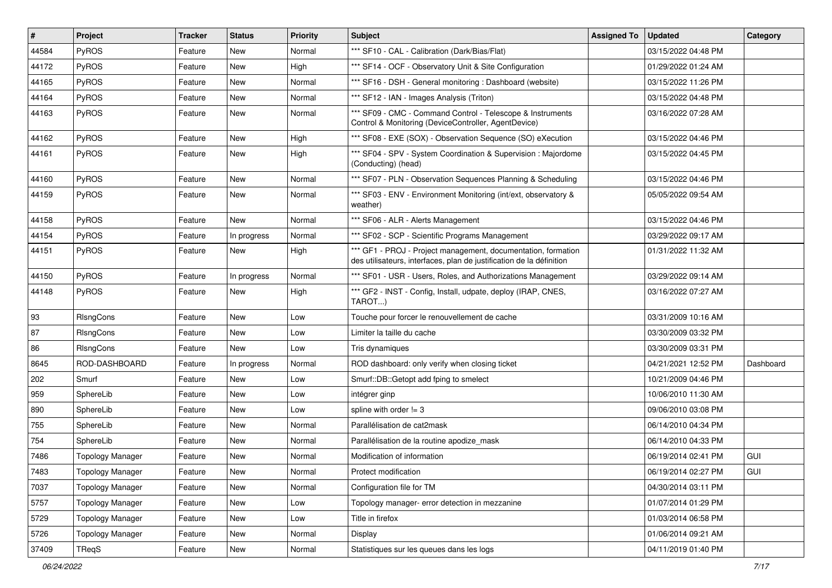| #     | Project                 | Tracker | <b>Status</b> | <b>Priority</b> | <b>Subject</b>                                                                                                                        | <b>Assigned To</b> | <b>Updated</b>      | Category  |
|-------|-------------------------|---------|---------------|-----------------|---------------------------------------------------------------------------------------------------------------------------------------|--------------------|---------------------|-----------|
| 44584 | PyROS                   | Feature | New           | Normal          | *** SF10 - CAL - Calibration (Dark/Bias/Flat)                                                                                         |                    | 03/15/2022 04:48 PM |           |
| 44172 | PyROS                   | Feature | New           | High            | *** SF14 - OCF - Observatory Unit & Site Configuration                                                                                |                    | 01/29/2022 01:24 AM |           |
| 44165 | <b>PyROS</b>            | Feature | New           | Normal          | *** SF16 - DSH - General monitoring : Dashboard (website)                                                                             |                    | 03/15/2022 11:26 PM |           |
| 44164 | PyROS                   | Feature | New           | Normal          | *** SF12 - IAN - Images Analysis (Triton)                                                                                             |                    | 03/15/2022 04:48 PM |           |
| 44163 | PyROS                   | Feature | New           | Normal          | *** SF09 - CMC - Command Control - Telescope & Instruments<br>Control & Monitoring (DeviceController, AgentDevice)                    |                    | 03/16/2022 07:28 AM |           |
| 44162 | PyROS                   | Feature | <b>New</b>    | High            | *** SF08 - EXE (SOX) - Observation Sequence (SO) eXecution                                                                            |                    | 03/15/2022 04:46 PM |           |
| 44161 | PyROS                   | Feature | New           | High            | *** SF04 - SPV - System Coordination & Supervision : Majordome<br>(Conducting) (head)                                                 |                    | 03/15/2022 04:45 PM |           |
| 44160 | PyROS                   | Feature | New           | Normal          | *** SF07 - PLN - Observation Sequences Planning & Scheduling                                                                          |                    | 03/15/2022 04:46 PM |           |
| 44159 | <b>PyROS</b>            | Feature | New           | Normal          | *** SF03 - ENV - Environment Monitoring (int/ext, observatory &<br>weather)                                                           |                    | 05/05/2022 09:54 AM |           |
| 44158 | PyROS                   | Feature | <b>New</b>    | Normal          | *** SF06 - ALR - Alerts Management                                                                                                    |                    | 03/15/2022 04:46 PM |           |
| 44154 | <b>PyROS</b>            | Feature | In progress   | Normal          | *** SF02 - SCP - Scientific Programs Management                                                                                       |                    | 03/29/2022 09:17 AM |           |
| 44151 | PyROS                   | Feature | New           | High            | *** GF1 - PROJ - Project management, documentation, formation<br>des utilisateurs, interfaces, plan de justification de la définition |                    | 01/31/2022 11:32 AM |           |
| 44150 | PyROS                   | Feature | In progress   | Normal          | *** SF01 - USR - Users, Roles, and Authorizations Management                                                                          |                    | 03/29/2022 09:14 AM |           |
| 44148 | PyROS                   | Feature | New           | High            | *** GF2 - INST - Config, Install, udpate, deploy (IRAP, CNES,<br>TAROT)                                                               |                    | 03/16/2022 07:27 AM |           |
| 93    | RIsngCons               | Feature | New           | Low             | Touche pour forcer le renouvellement de cache                                                                                         |                    | 03/31/2009 10:16 AM |           |
| 87    | RIsngCons               | Feature | New           | Low             | Limiter la taille du cache                                                                                                            |                    | 03/30/2009 03:32 PM |           |
| 86    | <b>RIsngCons</b>        | Feature | New           | Low             | Tris dynamiques                                                                                                                       |                    | 03/30/2009 03:31 PM |           |
| 8645  | ROD-DASHBOARD           | Feature | In progress   | Normal          | ROD dashboard: only verify when closing ticket                                                                                        |                    | 04/21/2021 12:52 PM | Dashboard |
| 202   | Smurf                   | Feature | New           | Low             | Smurf::DB::Getopt add fping to smelect                                                                                                |                    | 10/21/2009 04:46 PM |           |
| 959   | SphereLib               | Feature | New           | Low             | intégrer ginp                                                                                                                         |                    | 10/06/2010 11:30 AM |           |
| 890   | SphereLib               | Feature | <b>New</b>    | Low             | spline with order $!= 3$                                                                                                              |                    | 09/06/2010 03:08 PM |           |
| 755   | SphereLib               | Feature | New           | Normal          | Parallélisation de cat2mask                                                                                                           |                    | 06/14/2010 04:34 PM |           |
| 754   | SphereLib               | Feature | New           | Normal          | Parallélisation de la routine apodize mask                                                                                            |                    | 06/14/2010 04:33 PM |           |
| 7486  | <b>Topology Manager</b> | Feature | New           | Normal          | Modification of information                                                                                                           |                    | 06/19/2014 02:41 PM | GUI       |
| 7483  | Topology Manager        | Feature | New           | Normal          | Protect modification                                                                                                                  |                    | 06/19/2014 02:27 PM | GUI       |
| 7037  | <b>Topology Manager</b> | Feature | New           | Normal          | Configuration file for TM                                                                                                             |                    | 04/30/2014 03:11 PM |           |
| 5757  | <b>Topology Manager</b> | Feature | New           | Low             | Topology manager- error detection in mezzanine                                                                                        |                    | 01/07/2014 01:29 PM |           |
| 5729  | Topology Manager        | Feature | New           | Low             | Title in firefox                                                                                                                      |                    | 01/03/2014 06:58 PM |           |
| 5726  | <b>Topology Manager</b> | Feature | New           | Normal          | Display                                                                                                                               |                    | 01/06/2014 09:21 AM |           |
| 37409 | TReqS                   | Feature | New           | Normal          | Statistiques sur les queues dans les logs                                                                                             |                    | 04/11/2019 01:40 PM |           |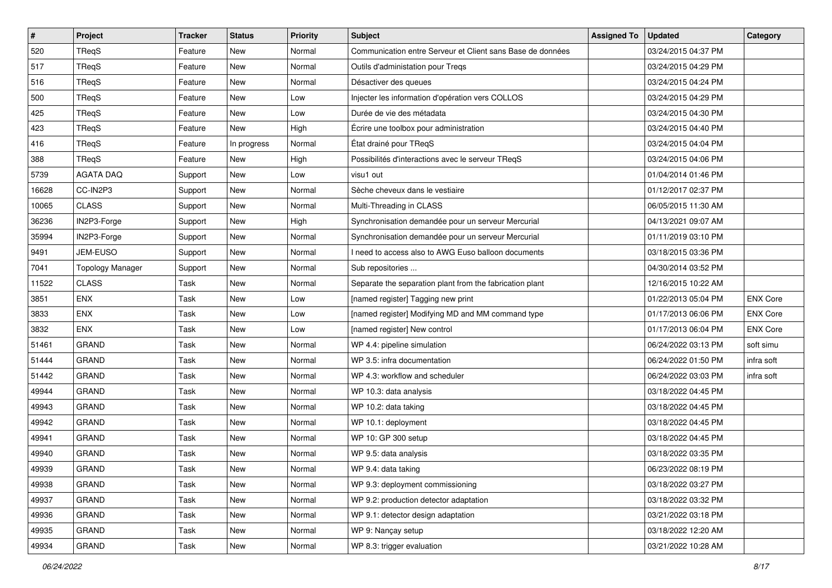| $\vert$ # | Project                 | Tracker | <b>Status</b> | Priority | <b>Subject</b>                                             | <b>Assigned To</b> | <b>Updated</b>      | Category        |
|-----------|-------------------------|---------|---------------|----------|------------------------------------------------------------|--------------------|---------------------|-----------------|
| 520       | TReqS                   | Feature | New           | Normal   | Communication entre Serveur et Client sans Base de données |                    | 03/24/2015 04:37 PM |                 |
| 517       | <b>TRegS</b>            | Feature | New           | Normal   | Outils d'administation pour Tregs                          |                    | 03/24/2015 04:29 PM |                 |
| 516       | TReqS                   | Feature | New           | Normal   | Désactiver des queues                                      |                    | 03/24/2015 04:24 PM |                 |
| 500       | TReqS                   | Feature | New           | Low      | Injecter les information d'opération vers COLLOS           |                    | 03/24/2015 04:29 PM |                 |
| 425       | TReqS                   | Feature | New           | Low      | Durée de vie des métadata                                  |                    | 03/24/2015 04:30 PM |                 |
| 423       | TReqS                   | Feature | New           | High     | Écrire une toolbox pour administration                     |                    | 03/24/2015 04:40 PM |                 |
| 416       | <b>TRegS</b>            | Feature | In progress   | Normal   | État drainé pour TReqS                                     |                    | 03/24/2015 04:04 PM |                 |
| 388       | TReqS                   | Feature | New           | High     | Possibilités d'interactions avec le serveur TReqS          |                    | 03/24/2015 04:06 PM |                 |
| 5739      | <b>AGATA DAQ</b>        | Support | New           | Low      | visu1 out                                                  |                    | 01/04/2014 01:46 PM |                 |
| 16628     | CC-IN2P3                | Support | New           | Normal   | Sèche cheveux dans le vestiaire                            |                    | 01/12/2017 02:37 PM |                 |
| 10065     | <b>CLASS</b>            | Support | New           | Normal   | Multi-Threading in CLASS                                   |                    | 06/05/2015 11:30 AM |                 |
| 36236     | IN2P3-Forge             | Support | New           | High     | Synchronisation demandée pour un serveur Mercurial         |                    | 04/13/2021 09:07 AM |                 |
| 35994     | IN2P3-Forge             | Support | New           | Normal   | Synchronisation demandée pour un serveur Mercurial         |                    | 01/11/2019 03:10 PM |                 |
| 9491      | JEM-EUSO                | Support | New           | Normal   | I need to access also to AWG Euso balloon documents        |                    | 03/18/2015 03:36 PM |                 |
| 7041      | <b>Topology Manager</b> | Support | New           | Normal   | Sub repositories                                           |                    | 04/30/2014 03:52 PM |                 |
| 11522     | <b>CLASS</b>            | Task    | New           | Normal   | Separate the separation plant from the fabrication plant   |                    | 12/16/2015 10:22 AM |                 |
| 3851      | <b>ENX</b>              | Task    | New           | Low      | [named register] Tagging new print                         |                    | 01/22/2013 05:04 PM | <b>ENX Core</b> |
| 3833      | <b>ENX</b>              | Task    | New           | Low      | [named register] Modifying MD and MM command type          |                    | 01/17/2013 06:06 PM | <b>ENX Core</b> |
| 3832      | <b>ENX</b>              | Task    | New           | Low      | [named register] New control                               |                    | 01/17/2013 06:04 PM | <b>ENX Core</b> |
| 51461     | <b>GRAND</b>            | Task    | New           | Normal   | WP 4.4: pipeline simulation                                |                    | 06/24/2022 03:13 PM | soft simu       |
| 51444     | <b>GRAND</b>            | Task    | New           | Normal   | WP 3.5: infra documentation                                |                    | 06/24/2022 01:50 PM | infra soft      |
| 51442     | <b>GRAND</b>            | Task    | New           | Normal   | WP 4.3: workflow and scheduler                             |                    | 06/24/2022 03:03 PM | infra soft      |
| 49944     | <b>GRAND</b>            | Task    | New           | Normal   | WP 10.3: data analysis                                     |                    | 03/18/2022 04:45 PM |                 |
| 49943     | <b>GRAND</b>            | Task    | New           | Normal   | WP 10.2: data taking                                       |                    | 03/18/2022 04:45 PM |                 |
| 49942     | <b>GRAND</b>            | Task    | New           | Normal   | WP 10.1: deployment                                        |                    | 03/18/2022 04:45 PM |                 |
| 49941     | <b>GRAND</b>            | Task    | New           | Normal   | WP 10: GP 300 setup                                        |                    | 03/18/2022 04:45 PM |                 |
| 49940     | <b>GRAND</b>            | Task    | New           | Normal   | WP 9.5: data analysis                                      |                    | 03/18/2022 03:35 PM |                 |
| 49939     | GRAND                   | Task    | New           | Normal   | WP 9.4: data taking                                        |                    | 06/23/2022 08:19 PM |                 |
| 49938     | <b>GRAND</b>            | Task    | New           | Normal   | WP 9.3: deployment commissioning                           |                    | 03/18/2022 03:27 PM |                 |
| 49937     | <b>GRAND</b>            | Task    | New           | Normal   | WP 9.2: production detector adaptation                     |                    | 03/18/2022 03:32 PM |                 |
| 49936     | GRAND                   | Task    | New           | Normal   | WP 9.1: detector design adaptation                         |                    | 03/21/2022 03:18 PM |                 |
| 49935     | GRAND                   | Task    | New           | Normal   | WP 9: Nançay setup                                         |                    | 03/18/2022 12:20 AM |                 |
| 49934     | GRAND                   | Task    | New           | Normal   | WP 8.3: trigger evaluation                                 |                    | 03/21/2022 10:28 AM |                 |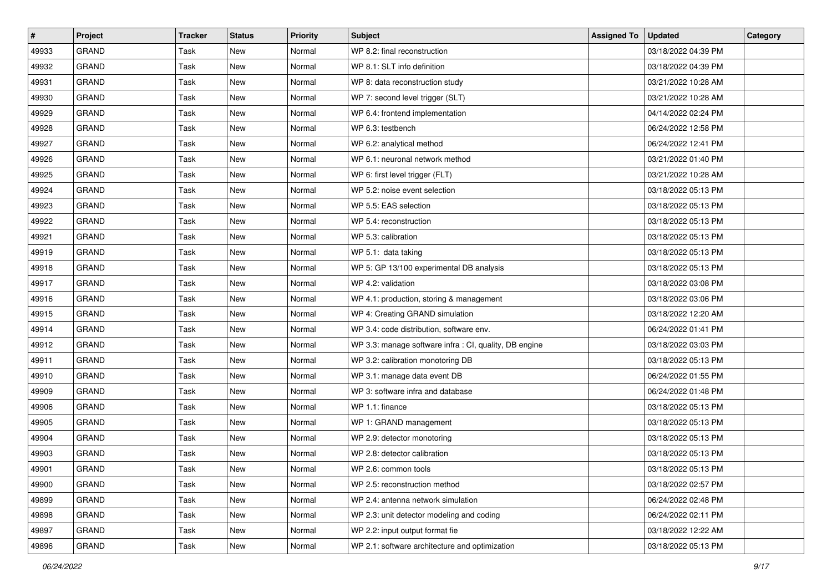| $\sharp$ | Project      | <b>Tracker</b> | <b>Status</b> | <b>Priority</b> | <b>Subject</b>                                         | <b>Assigned To</b> | <b>Updated</b>      | Category |
|----------|--------------|----------------|---------------|-----------------|--------------------------------------------------------|--------------------|---------------------|----------|
| 49933    | <b>GRAND</b> | Task           | New           | Normal          | WP 8.2: final reconstruction                           |                    | 03/18/2022 04:39 PM |          |
| 49932    | GRAND        | Task           | New           | Normal          | WP 8.1: SLT info definition                            |                    | 03/18/2022 04:39 PM |          |
| 49931    | <b>GRAND</b> | Task           | New           | Normal          | WP 8: data reconstruction study                        |                    | 03/21/2022 10:28 AM |          |
| 49930    | <b>GRAND</b> | Task           | New           | Normal          | WP 7: second level trigger (SLT)                       |                    | 03/21/2022 10:28 AM |          |
| 49929    | <b>GRAND</b> | Task           | New           | Normal          | WP 6.4: frontend implementation                        |                    | 04/14/2022 02:24 PM |          |
| 49928    | <b>GRAND</b> | Task           | New           | Normal          | WP 6.3: testbench                                      |                    | 06/24/2022 12:58 PM |          |
| 49927    | GRAND        | Task           | New           | Normal          | WP 6.2: analytical method                              |                    | 06/24/2022 12:41 PM |          |
| 49926    | <b>GRAND</b> | Task           | New           | Normal          | WP 6.1: neuronal network method                        |                    | 03/21/2022 01:40 PM |          |
| 49925    | <b>GRAND</b> | Task           | New           | Normal          | WP 6: first level trigger (FLT)                        |                    | 03/21/2022 10:28 AM |          |
| 49924    | <b>GRAND</b> | Task           | New           | Normal          | WP 5.2: noise event selection                          |                    | 03/18/2022 05:13 PM |          |
| 49923    | GRAND        | Task           | New           | Normal          | WP 5.5: EAS selection                                  |                    | 03/18/2022 05:13 PM |          |
| 49922    | GRAND        | Task           | New           | Normal          | WP 5.4: reconstruction                                 |                    | 03/18/2022 05:13 PM |          |
| 49921    | <b>GRAND</b> | Task           | New           | Normal          | WP 5.3: calibration                                    |                    | 03/18/2022 05:13 PM |          |
| 49919    | GRAND        | Task           | New           | Normal          | WP 5.1: data taking                                    |                    | 03/18/2022 05:13 PM |          |
| 49918    | GRAND        | Task           | New           | Normal          | WP 5: GP 13/100 experimental DB analysis               |                    | 03/18/2022 05:13 PM |          |
| 49917    | GRAND        | Task           | New           | Normal          | WP 4.2: validation                                     |                    | 03/18/2022 03:08 PM |          |
| 49916    | <b>GRAND</b> | Task           | New           | Normal          | WP 4.1: production, storing & management               |                    | 03/18/2022 03:06 PM |          |
| 49915    | <b>GRAND</b> | Task           | New           | Normal          | WP 4: Creating GRAND simulation                        |                    | 03/18/2022 12:20 AM |          |
| 49914    | <b>GRAND</b> | Task           | New           | Normal          | WP 3.4: code distribution, software env.               |                    | 06/24/2022 01:41 PM |          |
| 49912    | GRAND        | Task           | New           | Normal          | WP 3.3: manage software infra : CI, quality, DB engine |                    | 03/18/2022 03:03 PM |          |
| 49911    | <b>GRAND</b> | Task           | New           | Normal          | WP 3.2: calibration monotoring DB                      |                    | 03/18/2022 05:13 PM |          |
| 49910    | <b>GRAND</b> | Task           | New           | Normal          | WP 3.1: manage data event DB                           |                    | 06/24/2022 01:55 PM |          |
| 49909    | <b>GRAND</b> | Task           | New           | Normal          | WP 3: software infra and database                      |                    | 06/24/2022 01:48 PM |          |
| 49906    | <b>GRAND</b> | Task           | New           | Normal          | WP 1.1: finance                                        |                    | 03/18/2022 05:13 PM |          |
| 49905    | <b>GRAND</b> | Task           | New           | Normal          | WP 1: GRAND management                                 |                    | 03/18/2022 05:13 PM |          |
| 49904    | <b>GRAND</b> | Task           | New           | Normal          | WP 2.9: detector monotoring                            |                    | 03/18/2022 05:13 PM |          |
| 49903    | <b>GRAND</b> | Task           | New           | Normal          | WP 2.8: detector calibration                           |                    | 03/18/2022 05:13 PM |          |
| 49901    | GRAND        | Task           | New           | Normal          | WP 2.6: common tools                                   |                    | 03/18/2022 05:13 PM |          |
| 49900    | GRAND        | Task           | New           | Normal          | WP 2.5: reconstruction method                          |                    | 03/18/2022 02:57 PM |          |
| 49899    | <b>GRAND</b> | Task           | New           | Normal          | WP 2.4: antenna network simulation                     |                    | 06/24/2022 02:48 PM |          |
| 49898    | <b>GRAND</b> | Task           | New           | Normal          | WP 2.3: unit detector modeling and coding              |                    | 06/24/2022 02:11 PM |          |
| 49897    | GRAND        | Task           | New           | Normal          | WP 2.2: input output format fie                        |                    | 03/18/2022 12:22 AM |          |
| 49896    | GRAND        | Task           | New           | Normal          | WP 2.1: software architecture and optimization         |                    | 03/18/2022 05:13 PM |          |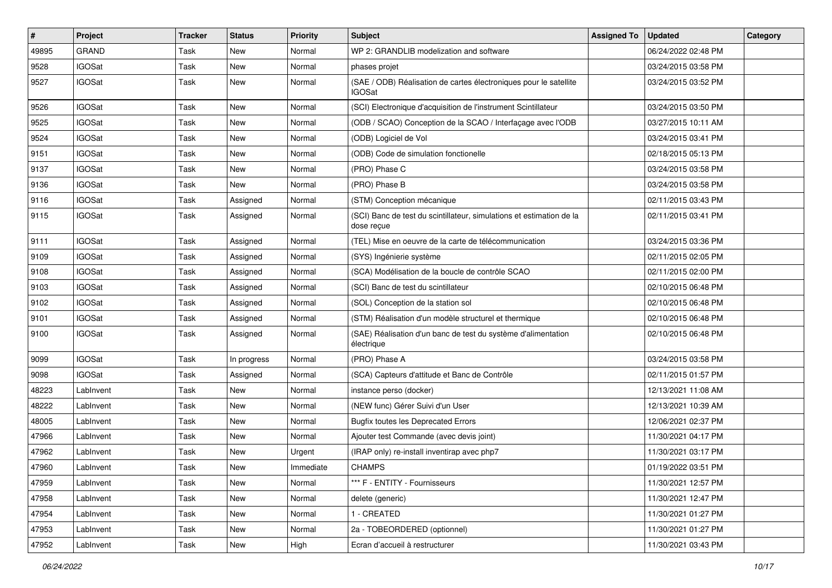| $\sharp$ | Project       | <b>Tracker</b> | <b>Status</b> | <b>Priority</b> | <b>Subject</b>                                                                     | <b>Assigned To</b> | <b>Updated</b>      | Category |
|----------|---------------|----------------|---------------|-----------------|------------------------------------------------------------------------------------|--------------------|---------------------|----------|
| 49895    | <b>GRAND</b>  | Task           | New           | Normal          | WP 2: GRANDLIB modelization and software                                           |                    | 06/24/2022 02:48 PM |          |
| 9528     | <b>IGOSat</b> | Task           | New           | Normal          | phases projet                                                                      |                    | 03/24/2015 03:58 PM |          |
| 9527     | <b>IGOSat</b> | Task           | New           | Normal          | (SAE / ODB) Réalisation de cartes électroniques pour le satellite<br>IGOSat        |                    | 03/24/2015 03:52 PM |          |
| 9526     | <b>IGOSat</b> | Task           | New           | Normal          | (SCI) Electronique d'acquisition de l'instrument Scintillateur                     |                    | 03/24/2015 03:50 PM |          |
| 9525     | <b>IGOSat</b> | Task           | New           | Normal          | (ODB / SCAO) Conception de la SCAO / Interfaçage avec l'ODB                        |                    | 03/27/2015 10:11 AM |          |
| 9524     | <b>IGOSat</b> | Task           | New           | Normal          | (ODB) Logiciel de Vol                                                              |                    | 03/24/2015 03:41 PM |          |
| 9151     | <b>IGOSat</b> | Task           | New           | Normal          | (ODB) Code de simulation fonctionelle                                              |                    | 02/18/2015 05:13 PM |          |
| 9137     | <b>IGOSat</b> | Task           | New           | Normal          | (PRO) Phase C                                                                      |                    | 03/24/2015 03:58 PM |          |
| 9136     | <b>IGOSat</b> | Task           | New           | Normal          | (PRO) Phase B                                                                      |                    | 03/24/2015 03:58 PM |          |
| 9116     | <b>IGOSat</b> | Task           | Assigned      | Normal          | (STM) Conception mécanique                                                         |                    | 02/11/2015 03:43 PM |          |
| 9115     | <b>IGOSat</b> | Task           | Assigned      | Normal          | (SCI) Banc de test du scintillateur, simulations et estimation de la<br>dose reçue |                    | 02/11/2015 03:41 PM |          |
| 9111     | <b>IGOSat</b> | Task           | Assigned      | Normal          | (TEL) Mise en oeuvre de la carte de télécommunication                              |                    | 03/24/2015 03:36 PM |          |
| 9109     | <b>IGOSat</b> | Task           | Assigned      | Normal          | (SYS) Ingénierie système                                                           |                    | 02/11/2015 02:05 PM |          |
| 9108     | <b>IGOSat</b> | Task           | Assigned      | Normal          | (SCA) Modélisation de la boucle de contrôle SCAO                                   |                    | 02/11/2015 02:00 PM |          |
| 9103     | <b>IGOSat</b> | Task           | Assigned      | Normal          | (SCI) Banc de test du scintillateur                                                |                    | 02/10/2015 06:48 PM |          |
| 9102     | <b>IGOSat</b> | Task           | Assigned      | Normal          | (SOL) Conception de la station sol                                                 |                    | 02/10/2015 06:48 PM |          |
| 9101     | <b>IGOSat</b> | Task           | Assigned      | Normal          | (STM) Réalisation d'un modèle structurel et thermique                              |                    | 02/10/2015 06:48 PM |          |
| 9100     | <b>IGOSat</b> | Task           | Assigned      | Normal          | (SAE) Réalisation d'un banc de test du système d'alimentation<br>électrique        |                    | 02/10/2015 06:48 PM |          |
| 9099     | <b>IGOSat</b> | Task           | In progress   | Normal          | (PRO) Phase A                                                                      |                    | 03/24/2015 03:58 PM |          |
| 9098     | <b>IGOSat</b> | Task           | Assigned      | Normal          | (SCA) Capteurs d'attitude et Banc de Contrôle                                      |                    | 02/11/2015 01:57 PM |          |
| 48223    | LabInvent     | Task           | New           | Normal          | instance perso (docker)                                                            |                    | 12/13/2021 11:08 AM |          |
| 48222    | LabInvent     | Task           | New           | Normal          | (NEW func) Gérer Suivi d'un User                                                   |                    | 12/13/2021 10:39 AM |          |
| 48005    | LabInvent     | Task           | New           | Normal          | <b>Bugfix toutes les Deprecated Errors</b>                                         |                    | 12/06/2021 02:37 PM |          |
| 47966    | LabInvent     | Task           | New           | Normal          | Ajouter test Commande (avec devis joint)                                           |                    | 11/30/2021 04:17 PM |          |
| 47962    | LabInvent     | Task           | New           | Urgent          | (IRAP only) re-install inventirap avec php7                                        |                    | 11/30/2021 03:17 PM |          |
| 47960    | LabInvent     | Task           | New           | Immediate       | <b>CHAMPS</b>                                                                      |                    | 01/19/2022 03:51 PM |          |
| 47959    | LabInvent     | Task           | New           | Normal          | *** F - ENTITY - Fournisseurs                                                      |                    | 11/30/2021 12:57 PM |          |
| 47958    | LabInvent     | Task           | New           | Normal          | delete (generic)                                                                   |                    | 11/30/2021 12:47 PM |          |
| 47954    | LabInvent     | Task           | New           | Normal          | 1 - CREATED                                                                        |                    | 11/30/2021 01:27 PM |          |
| 47953    | LabInvent     | Task           | New           | Normal          | 2a - TOBEORDERED (optionnel)                                                       |                    | 11/30/2021 01:27 PM |          |
| 47952    | LabInvent     | Task           | New           | High            | Ecran d'accueil à restructurer                                                     |                    | 11/30/2021 03:43 PM |          |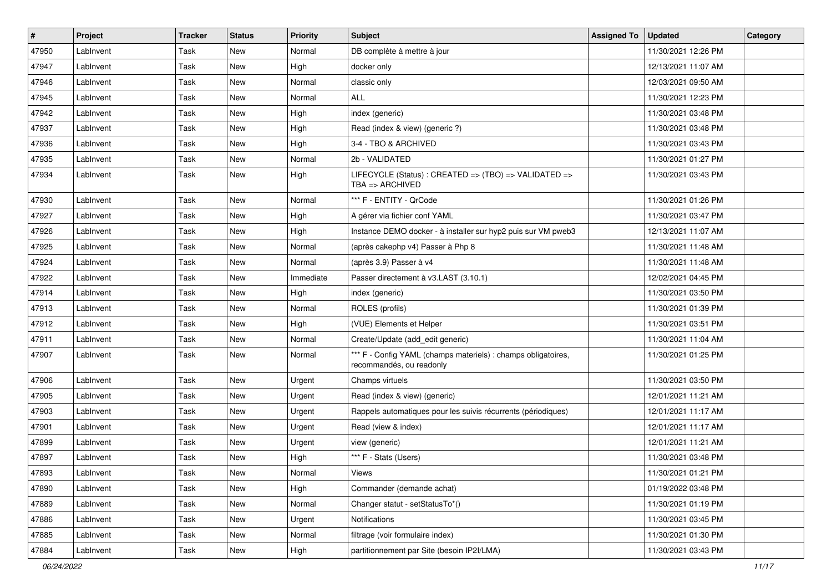| $\vert$ # | Project   | <b>Tracker</b> | <b>Status</b> | <b>Priority</b> | Subject                                                                                   | <b>Assigned To</b> | <b>Updated</b>      | Category |
|-----------|-----------|----------------|---------------|-----------------|-------------------------------------------------------------------------------------------|--------------------|---------------------|----------|
| 47950     | LabInvent | Task           | New           | Normal          | DB complète à mettre à jour                                                               |                    | 11/30/2021 12:26 PM |          |
| 47947     | LabInvent | Task           | New           | High            | docker only                                                                               |                    | 12/13/2021 11:07 AM |          |
| 47946     | LabInvent | Task           | New           | Normal          | classic only                                                                              |                    | 12/03/2021 09:50 AM |          |
| 47945     | LabInvent | Task           | New           | Normal          | ALL                                                                                       |                    | 11/30/2021 12:23 PM |          |
| 47942     | LabInvent | Task           | New           | High            | index (generic)                                                                           |                    | 11/30/2021 03:48 PM |          |
| 47937     | LabInvent | Task           | New           | High            | Read (index & view) (generic ?)                                                           |                    | 11/30/2021 03:48 PM |          |
| 47936     | LabInvent | Task           | New           | High            | 3-4 - TBO & ARCHIVED                                                                      |                    | 11/30/2021 03:43 PM |          |
| 47935     | LabInvent | Task           | New           | Normal          | 2b - VALIDATED                                                                            |                    | 11/30/2021 01:27 PM |          |
| 47934     | LabInvent | Task           | New           | High            | LIFECYCLE (Status) : CREATED => (TBO) => VALIDATED =><br>TBA => ARCHIVED                  |                    | 11/30/2021 03:43 PM |          |
| 47930     | LabInvent | Task           | New           | Normal          | *** F - ENTITY - QrCode                                                                   |                    | 11/30/2021 01:26 PM |          |
| 47927     | LabInvent | Task           | New           | High            | A gérer via fichier conf YAML                                                             |                    | 11/30/2021 03:47 PM |          |
| 47926     | LabInvent | Task           | New           | High            | Instance DEMO docker - à installer sur hyp2 puis sur VM pweb3                             |                    | 12/13/2021 11:07 AM |          |
| 47925     | LabInvent | Task           | New           | Normal          | (après cakephp v4) Passer à Php 8                                                         |                    | 11/30/2021 11:48 AM |          |
| 47924     | LabInvent | Task           | New           | Normal          | (après 3.9) Passer à v4                                                                   |                    | 11/30/2021 11:48 AM |          |
| 47922     | LabInvent | Task           | New           | Immediate       | Passer directement à v3.LAST (3.10.1)                                                     |                    | 12/02/2021 04:45 PM |          |
| 47914     | LabInvent | Task           | New           | High            | index (generic)                                                                           |                    | 11/30/2021 03:50 PM |          |
| 47913     | LabInvent | Task           | New           | Normal          | ROLES (profils)                                                                           |                    | 11/30/2021 01:39 PM |          |
| 47912     | LabInvent | Task           | New           | High            | (VUE) Elements et Helper                                                                  |                    | 11/30/2021 03:51 PM |          |
| 47911     | LabInvent | Task           | New           | Normal          | Create/Update (add_edit generic)                                                          |                    | 11/30/2021 11:04 AM |          |
| 47907     | LabInvent | Task           | New           | Normal          | *** F - Config YAML (champs materiels) : champs obligatoires,<br>recommandés, ou readonly |                    | 11/30/2021 01:25 PM |          |
| 47906     | LabInvent | Task           | New           | Urgent          | Champs virtuels                                                                           |                    | 11/30/2021 03:50 PM |          |
| 47905     | LabInvent | Task           | New           | Urgent          | Read (index & view) (generic)                                                             |                    | 12/01/2021 11:21 AM |          |
| 47903     | LabInvent | Task           | <b>New</b>    | Urgent          | Rappels automatiques pour les suivis récurrents (périodiques)                             |                    | 12/01/2021 11:17 AM |          |
| 47901     | LabInvent | Task           | New           | Urgent          | Read (view & index)                                                                       |                    | 12/01/2021 11:17 AM |          |
| 47899     | LabInvent | Task           | New           | Urgent          | view (generic)                                                                            |                    | 12/01/2021 11:21 AM |          |
| 47897     | LabInvent | Task           | New           | High            | *** F - Stats (Users)                                                                     |                    | 11/30/2021 03:48 PM |          |
| 47893     | LabInvent | Task           | New           | Normal          | Views                                                                                     |                    | 11/30/2021 01:21 PM |          |
| 47890     | LabInvent | Task           | New           | High            | Commander (demande achat)                                                                 |                    | 01/19/2022 03:48 PM |          |
| 47889     | LabInvent | Task           | New           | Normal          | Changer statut - setStatusTo*()                                                           |                    | 11/30/2021 01:19 PM |          |
| 47886     | LabInvent | Task           | New           | Urgent          | Notifications                                                                             |                    | 11/30/2021 03:45 PM |          |
| 47885     | LabInvent | Task           | New           | Normal          | filtrage (voir formulaire index)                                                          |                    | 11/30/2021 01:30 PM |          |
| 47884     | LabInvent | Task           | New           | High            | partitionnement par Site (besoin IP2I/LMA)                                                |                    | 11/30/2021 03:43 PM |          |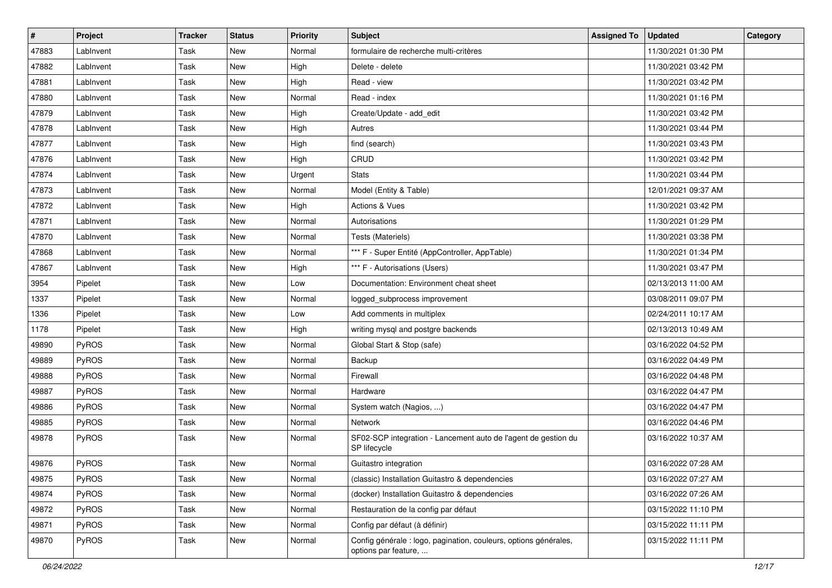| $\vert$ # | Project   | <b>Tracker</b> | <b>Status</b> | <b>Priority</b> | <b>Subject</b>                                                                           | <b>Assigned To</b> | <b>Updated</b>      | Category |
|-----------|-----------|----------------|---------------|-----------------|------------------------------------------------------------------------------------------|--------------------|---------------------|----------|
| 47883     | LabInvent | Task           | New           | Normal          | formulaire de recherche multi-critères                                                   |                    | 11/30/2021 01:30 PM |          |
| 47882     | LabInvent | Task           | <b>New</b>    | High            | Delete - delete                                                                          |                    | 11/30/2021 03:42 PM |          |
| 47881     | LabInvent | Task           | <b>New</b>    | High            | Read - view                                                                              |                    | 11/30/2021 03:42 PM |          |
| 47880     | LabInvent | Task           | New           | Normal          | Read - index                                                                             |                    | 11/30/2021 01:16 PM |          |
| 47879     | LabInvent | Task           | <b>New</b>    | High            | Create/Update - add_edit                                                                 |                    | 11/30/2021 03:42 PM |          |
| 47878     | LabInvent | Task           | New           | High            | Autres                                                                                   |                    | 11/30/2021 03:44 PM |          |
| 47877     | LabInvent | Task           | New           | High            | find (search)                                                                            |                    | 11/30/2021 03:43 PM |          |
| 47876     | LabInvent | Task           | New           | High            | CRUD                                                                                     |                    | 11/30/2021 03:42 PM |          |
| 47874     | LabInvent | Task           | New           | Urgent          | <b>Stats</b>                                                                             |                    | 11/30/2021 03:44 PM |          |
| 47873     | LabInvent | Task           | <b>New</b>    | Normal          | Model (Entity & Table)                                                                   |                    | 12/01/2021 09:37 AM |          |
| 47872     | LabInvent | Task           | New           | High            | Actions & Vues                                                                           |                    | 11/30/2021 03:42 PM |          |
| 47871     | LabInvent | Task           | <b>New</b>    | Normal          | Autorisations                                                                            |                    | 11/30/2021 01:29 PM |          |
| 47870     | LabInvent | Task           | New           | Normal          | Tests (Materiels)                                                                        |                    | 11/30/2021 03:38 PM |          |
| 47868     | LabInvent | Task           | New           | Normal          | *** F - Super Entité (AppController, AppTable)                                           |                    | 11/30/2021 01:34 PM |          |
| 47867     | LabInvent | Task           | <b>New</b>    | High            | *** F - Autorisations (Users)                                                            |                    | 11/30/2021 03:47 PM |          |
| 3954      | Pipelet   | Task           | New           | Low             | Documentation: Environment cheat sheet                                                   |                    | 02/13/2013 11:00 AM |          |
| 1337      | Pipelet   | Task           | New           | Normal          | logged_subprocess improvement                                                            |                    | 03/08/2011 09:07 PM |          |
| 1336      | Pipelet   | Task           | New           | Low             | Add comments in multiplex                                                                |                    | 02/24/2011 10:17 AM |          |
| 1178      | Pipelet   | Task           | <b>New</b>    | High            | writing mysql and postgre backends                                                       |                    | 02/13/2013 10:49 AM |          |
| 49890     | PyROS     | Task           | New           | Normal          | Global Start & Stop (safe)                                                               |                    | 03/16/2022 04:52 PM |          |
| 49889     | PyROS     | Task           | New           | Normal          | Backup                                                                                   |                    | 03/16/2022 04:49 PM |          |
| 49888     | PyROS     | Task           | New           | Normal          | Firewall                                                                                 |                    | 03/16/2022 04:48 PM |          |
| 49887     | PyROS     | Task           | New           | Normal          | Hardware                                                                                 |                    | 03/16/2022 04:47 PM |          |
| 49886     | PyROS     | Task           | New           | Normal          | System watch (Nagios, )                                                                  |                    | 03/16/2022 04:47 PM |          |
| 49885     | PyROS     | Task           | New           | Normal          | <b>Network</b>                                                                           |                    | 03/16/2022 04:46 PM |          |
| 49878     | PyROS     | Task           | New           | Normal          | SF02-SCP integration - Lancement auto de l'agent de gestion du<br>SP lifecycle           |                    | 03/16/2022 10:37 AM |          |
| 49876     | PyROS     | Task           | New           | Normal          | Guitastro integration                                                                    |                    | 03/16/2022 07:28 AM |          |
| 49875     | PyROS     | Task           | New           | Normal          | (classic) Installation Guitastro & dependencies                                          |                    | 03/16/2022 07:27 AM |          |
| 49874     | PyROS     | Task           | New           | Normal          | (docker) Installation Guitastro & dependencies                                           |                    | 03/16/2022 07:26 AM |          |
| 49872     | PyROS     | Task           | New           | Normal          | Restauration de la config par défaut                                                     |                    | 03/15/2022 11:10 PM |          |
| 49871     | PyROS     | Task           | New           | Normal          | Config par défaut (à définir)                                                            |                    | 03/15/2022 11:11 PM |          |
| 49870     | PyROS     | Task           | New           | Normal          | Config générale : logo, pagination, couleurs, options générales,<br>options par feature, |                    | 03/15/2022 11:11 PM |          |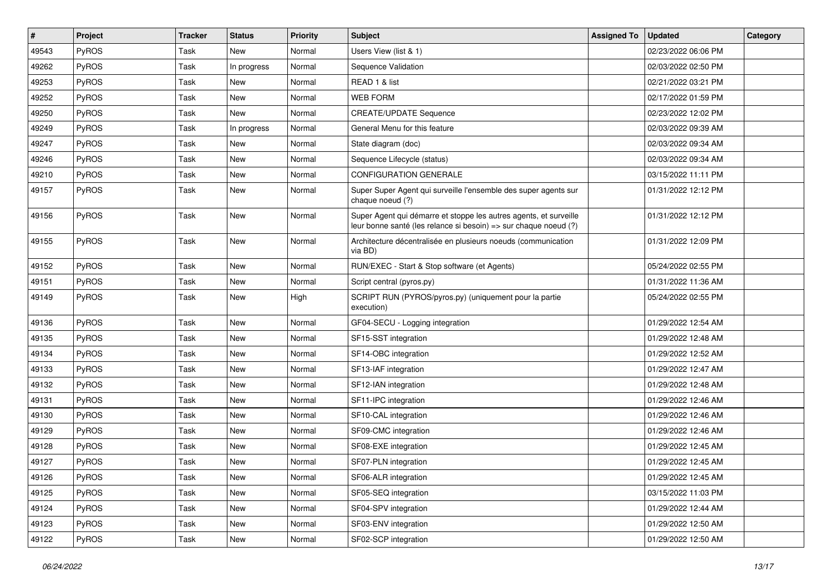| $\vert$ # | Project      | <b>Tracker</b> | <b>Status</b> | <b>Priority</b> | Subject                                                                                                                               | <b>Assigned To</b> | <b>Updated</b>      | Category |
|-----------|--------------|----------------|---------------|-----------------|---------------------------------------------------------------------------------------------------------------------------------------|--------------------|---------------------|----------|
| 49543     | PyROS        | Task           | New           | Normal          | Users View (list & 1)                                                                                                                 |                    | 02/23/2022 06:06 PM |          |
| 49262     | <b>PyROS</b> | Task           | In progress   | Normal          | Sequence Validation                                                                                                                   |                    | 02/03/2022 02:50 PM |          |
| 49253     | PyROS        | Task           | New           | Normal          | READ 1 & list                                                                                                                         |                    | 02/21/2022 03:21 PM |          |
| 49252     | PyROS        | Task           | New           | Normal          | <b>WEB FORM</b>                                                                                                                       |                    | 02/17/2022 01:59 PM |          |
| 49250     | PyROS        | Task           | <b>New</b>    | Normal          | <b>CREATE/UPDATE Sequence</b>                                                                                                         |                    | 02/23/2022 12:02 PM |          |
| 49249     | PyROS        | Task           | In progress   | Normal          | General Menu for this feature                                                                                                         |                    | 02/03/2022 09:39 AM |          |
| 49247     | PyROS        | Task           | <b>New</b>    | Normal          | State diagram (doc)                                                                                                                   |                    | 02/03/2022 09:34 AM |          |
| 49246     | PyROS        | Task           | New           | Normal          | Sequence Lifecycle (status)                                                                                                           |                    | 02/03/2022 09:34 AM |          |
| 49210     | <b>PyROS</b> | Task           | New           | Normal          | <b>CONFIGURATION GENERALE</b>                                                                                                         |                    | 03/15/2022 11:11 PM |          |
| 49157     | PyROS        | Task           | New           | Normal          | Super Super Agent qui surveille l'ensemble des super agents sur<br>chaque noeud (?)                                                   |                    | 01/31/2022 12:12 PM |          |
| 49156     | PyROS        | Task           | New           | Normal          | Super Agent qui démarre et stoppe les autres agents, et surveille<br>leur bonne santé (les relance si besoin) => sur chaque noeud (?) |                    | 01/31/2022 12:12 PM |          |
| 49155     | PyROS        | Task           | New           | Normal          | Architecture décentralisée en plusieurs noeuds (communication<br>via BD)                                                              |                    | 01/31/2022 12:09 PM |          |
| 49152     | PyROS        | Task           | New           | Normal          | RUN/EXEC - Start & Stop software (et Agents)                                                                                          |                    | 05/24/2022 02:55 PM |          |
| 49151     | PyROS        | Task           | New           | Normal          | Script central (pyros.py)                                                                                                             |                    | 01/31/2022 11:36 AM |          |
| 49149     | PyROS        | Task           | New           | High            | SCRIPT RUN (PYROS/pyros.py) (uniquement pour la partie<br>execution)                                                                  |                    | 05/24/2022 02:55 PM |          |
| 49136     | <b>PyROS</b> | Task           | New           | Normal          | GF04-SECU - Logging integration                                                                                                       |                    | 01/29/2022 12:54 AM |          |
| 49135     | PyROS        | Task           | New           | Normal          | SF15-SST integration                                                                                                                  |                    | 01/29/2022 12:48 AM |          |
| 49134     | PyROS        | Task           | New           | Normal          | SF14-OBC integration                                                                                                                  |                    | 01/29/2022 12:52 AM |          |
| 49133     | PyROS        | Task           | <b>New</b>    | Normal          | SF13-IAF integration                                                                                                                  |                    | 01/29/2022 12:47 AM |          |
| 49132     | PyROS        | Task           | New           | Normal          | SF12-IAN integration                                                                                                                  |                    | 01/29/2022 12:48 AM |          |
| 49131     | PyROS        | Task           | New           | Normal          | SF11-IPC integration                                                                                                                  |                    | 01/29/2022 12:46 AM |          |
| 49130     | PyROS        | Task           | New           | Normal          | SF10-CAL integration                                                                                                                  |                    | 01/29/2022 12:46 AM |          |
| 49129     | PyROS        | Task           | New           | Normal          | SF09-CMC integration                                                                                                                  |                    | 01/29/2022 12:46 AM |          |
| 49128     | PyROS        | Task           | New           | Normal          | SF08-EXE integration                                                                                                                  |                    | 01/29/2022 12:45 AM |          |
| 49127     | PyROS        | Task           | New           | Normal          | SF07-PLN integration                                                                                                                  |                    | 01/29/2022 12:45 AM |          |
| 49126     | PyROS        | Task           | New           | Normal          | SF06-ALR integration                                                                                                                  |                    | 01/29/2022 12:45 AM |          |
| 49125     | PyROS        | Task           | New           | Normal          | SF05-SEQ integration                                                                                                                  |                    | 03/15/2022 11:03 PM |          |
| 49124     | PyROS        | Task           | New           | Normal          | SF04-SPV integration                                                                                                                  |                    | 01/29/2022 12:44 AM |          |
| 49123     | PyROS        | Task           | New           | Normal          | SF03-ENV integration                                                                                                                  |                    | 01/29/2022 12:50 AM |          |
| 49122     | PyROS        | Task           | New           | Normal          | SF02-SCP integration                                                                                                                  |                    | 01/29/2022 12:50 AM |          |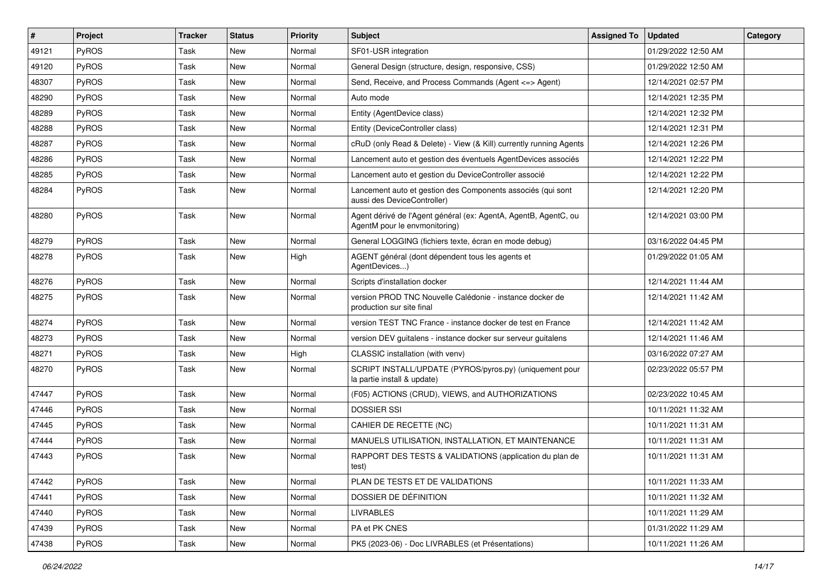| $\vert$ # | Project      | <b>Tracker</b> | <b>Status</b> | <b>Priority</b> | Subject                                                                                          | <b>Assigned To</b> | <b>Updated</b>      | Category |
|-----------|--------------|----------------|---------------|-----------------|--------------------------------------------------------------------------------------------------|--------------------|---------------------|----------|
| 49121     | PyROS        | Task           | New           | Normal          | SF01-USR integration                                                                             |                    | 01/29/2022 12:50 AM |          |
| 49120     | <b>PyROS</b> | Task           | New           | Normal          | General Design (structure, design, responsive, CSS)                                              |                    | 01/29/2022 12:50 AM |          |
| 48307     | <b>PyROS</b> | Task           | New           | Normal          | Send, Receive, and Process Commands (Agent <= > Agent)                                           |                    | 12/14/2021 02:57 PM |          |
| 48290     | PyROS        | Task           | New           | Normal          | Auto mode                                                                                        |                    | 12/14/2021 12:35 PM |          |
| 48289     | PyROS        | Task           | New           | Normal          | Entity (AgentDevice class)                                                                       |                    | 12/14/2021 12:32 PM |          |
| 48288     | PyROS        | Task           | New           | Normal          | Entity (DeviceController class)                                                                  |                    | 12/14/2021 12:31 PM |          |
| 48287     | PyROS        | Task           | New           | Normal          | cRuD (only Read & Delete) - View (& Kill) currently running Agents                               |                    | 12/14/2021 12:26 PM |          |
| 48286     | PyROS        | Task           | New           | Normal          | Lancement auto et gestion des éventuels AgentDevices associés                                    |                    | 12/14/2021 12:22 PM |          |
| 48285     | PyROS        | Task           | New           | Normal          | Lancement auto et gestion du DeviceController associé                                            |                    | 12/14/2021 12:22 PM |          |
| 48284     | PyROS        | Task           | New           | Normal          | Lancement auto et gestion des Components associés (qui sont<br>aussi des DeviceController)       |                    | 12/14/2021 12:20 PM |          |
| 48280     | PyROS        | Task           | New           | Normal          | Agent dérivé de l'Agent général (ex: AgentA, AgentB, AgentC, ou<br>AgentM pour le envmonitoring) |                    | 12/14/2021 03:00 PM |          |
| 48279     | PyROS        | Task           | New           | Normal          | General LOGGING (fichiers texte, écran en mode debug)                                            |                    | 03/16/2022 04:45 PM |          |
| 48278     | PyROS        | Task           | New           | High            | AGENT général (dont dépendent tous les agents et<br>AgentDevices)                                |                    | 01/29/2022 01:05 AM |          |
| 48276     | PyROS        | Task           | New           | Normal          | Scripts d'installation docker                                                                    |                    | 12/14/2021 11:44 AM |          |
| 48275     | PyROS        | Task           | New           | Normal          | version PROD TNC Nouvelle Calédonie - instance docker de<br>production sur site final            |                    | 12/14/2021 11:42 AM |          |
| 48274     | PyROS        | Task           | New           | Normal          | version TEST TNC France - instance docker de test en France                                      |                    | 12/14/2021 11:42 AM |          |
| 48273     | PyROS        | Task           | New           | Normal          | version DEV guitalens - instance docker sur serveur guitalens                                    |                    | 12/14/2021 11:46 AM |          |
| 48271     | PyROS        | Task           | New           | High            | CLASSIC installation (with venv)                                                                 |                    | 03/16/2022 07:27 AM |          |
| 48270     | PyROS        | Task           | New           | Normal          | SCRIPT INSTALL/UPDATE (PYROS/pyros.py) (uniquement pour<br>la partie install & update)           |                    | 02/23/2022 05:57 PM |          |
| 47447     | <b>PyROS</b> | Task           | New           | Normal          | (F05) ACTIONS (CRUD), VIEWS, and AUTHORIZATIONS                                                  |                    | 02/23/2022 10:45 AM |          |
| 47446     | PyROS        | Task           | New           | Normal          | <b>DOSSIER SSI</b>                                                                               |                    | 10/11/2021 11:32 AM |          |
| 47445     | <b>PyROS</b> | Task           | New           | Normal          | CAHIER DE RECETTE (NC)                                                                           |                    | 10/11/2021 11:31 AM |          |
| 47444     | PyROS        | Task           | New           | Normal          | MANUELS UTILISATION, INSTALLATION, ET MAINTENANCE                                                |                    | 10/11/2021 11:31 AM |          |
| 47443     | PyROS        | Task           | New           | Normal          | RAPPORT DES TESTS & VALIDATIONS (application du plan de<br>test)                                 |                    | 10/11/2021 11:31 AM |          |
| 47442     | PyROS        | Task           | New           | Normal          | PLAN DE TESTS ET DE VALIDATIONS                                                                  |                    | 10/11/2021 11:33 AM |          |
| 47441     | PyROS        | Task           | New           | Normal          | DOSSIER DE DÉFINITION                                                                            |                    | 10/11/2021 11:32 AM |          |
| 47440     | PyROS        | Task           | New           | Normal          | <b>LIVRABLES</b>                                                                                 |                    | 10/11/2021 11:29 AM |          |
| 47439     | PyROS        | Task           | New           | Normal          | PA et PK CNES                                                                                    |                    | 01/31/2022 11:29 AM |          |
| 47438     | PyROS        | Task           | New           | Normal          | PK5 (2023-06) - Doc LIVRABLES (et Présentations)                                                 |                    | 10/11/2021 11:26 AM |          |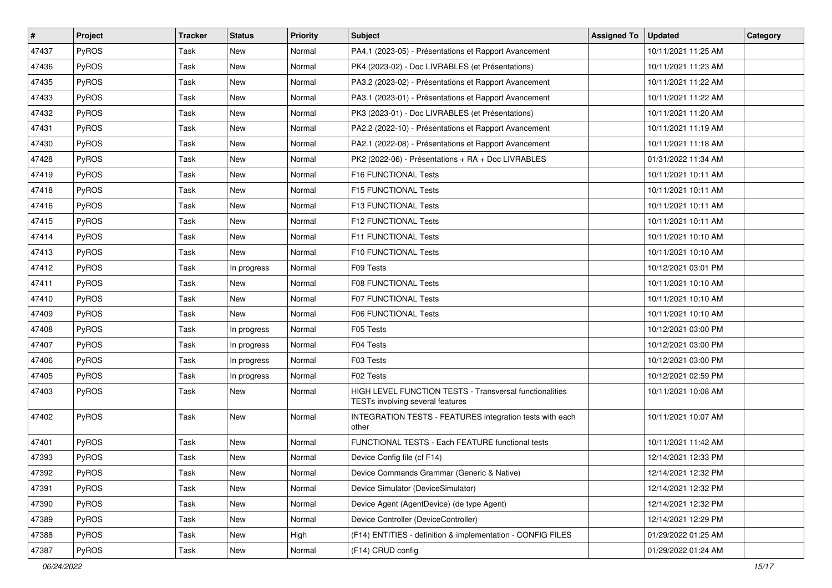| $\vert$ # | Project      | <b>Tracker</b> | <b>Status</b> | <b>Priority</b> | Subject                                                                                     | <b>Assigned To</b> | <b>Updated</b>      | Category |
|-----------|--------------|----------------|---------------|-----------------|---------------------------------------------------------------------------------------------|--------------------|---------------------|----------|
| 47437     | <b>PyROS</b> | Task           | New           | Normal          | PA4.1 (2023-05) - Présentations et Rapport Avancement                                       |                    | 10/11/2021 11:25 AM |          |
| 47436     | PyROS        | Task           | <b>New</b>    | Normal          | PK4 (2023-02) - Doc LIVRABLES (et Présentations)                                            |                    | 10/11/2021 11:23 AM |          |
| 47435     | <b>PyROS</b> | Task           | New           | Normal          | PA3.2 (2023-02) - Présentations et Rapport Avancement                                       |                    | 10/11/2021 11:22 AM |          |
| 47433     | PyROS        | Task           | New           | Normal          | PA3.1 (2023-01) - Présentations et Rapport Avancement                                       |                    | 10/11/2021 11:22 AM |          |
| 47432     | <b>PyROS</b> | Task           | New           | Normal          | PK3 (2023-01) - Doc LIVRABLES (et Présentations)                                            |                    | 10/11/2021 11:20 AM |          |
| 47431     | PyROS        | Task           | New           | Normal          | PA2.2 (2022-10) - Présentations et Rapport Avancement                                       |                    | 10/11/2021 11:19 AM |          |
| 47430     | PyROS        | Task           | New           | Normal          | PA2.1 (2022-08) - Présentations et Rapport Avancement                                       |                    | 10/11/2021 11:18 AM |          |
| 47428     | PyROS        | Task           | New           | Normal          | PK2 (2022-06) - Présentations + RA + Doc LIVRABLES                                          |                    | 01/31/2022 11:34 AM |          |
| 47419     | <b>PyROS</b> | Task           | New           | Normal          | F16 FUNCTIONAL Tests                                                                        |                    | 10/11/2021 10:11 AM |          |
| 47418     | PyROS        | Task           | New           | Normal          | F15 FUNCTIONAL Tests                                                                        |                    | 10/11/2021 10:11 AM |          |
| 47416     | <b>PyROS</b> | Task           | New           | Normal          | F13 FUNCTIONAL Tests                                                                        |                    | 10/11/2021 10:11 AM |          |
| 47415     | PyROS        | Task           | New           | Normal          | F12 FUNCTIONAL Tests                                                                        |                    | 10/11/2021 10:11 AM |          |
| 47414     | <b>PyROS</b> | Task           | New           | Normal          | F11 FUNCTIONAL Tests                                                                        |                    | 10/11/2021 10:10 AM |          |
| 47413     | <b>PyROS</b> | Task           | New           | Normal          | F10 FUNCTIONAL Tests                                                                        |                    | 10/11/2021 10:10 AM |          |
| 47412     | PyROS        | Task           | In progress   | Normal          | F09 Tests                                                                                   |                    | 10/12/2021 03:01 PM |          |
| 47411     | <b>PyROS</b> | Task           | New           | Normal          | <b>F08 FUNCTIONAL Tests</b>                                                                 |                    | 10/11/2021 10:10 AM |          |
| 47410     | PyROS        | Task           | New           | Normal          | <b>F07 FUNCTIONAL Tests</b>                                                                 |                    | 10/11/2021 10:10 AM |          |
| 47409     | <b>PyROS</b> | Task           | <b>New</b>    | Normal          | F06 FUNCTIONAL Tests                                                                        |                    | 10/11/2021 10:10 AM |          |
| 47408     | <b>PyROS</b> | Task           | In progress   | Normal          | F05 Tests                                                                                   |                    | 10/12/2021 03:00 PM |          |
| 47407     | <b>PyROS</b> | Task           | In progress   | Normal          | F04 Tests                                                                                   |                    | 10/12/2021 03:00 PM |          |
| 47406     | <b>PyROS</b> | Task           | In progress   | Normal          | F03 Tests                                                                                   |                    | 10/12/2021 03:00 PM |          |
| 47405     | <b>PyROS</b> | Task           | In progress   | Normal          | F02 Tests                                                                                   |                    | 10/12/2021 02:59 PM |          |
| 47403     | PyROS        | Task           | New           | Normal          | HIGH LEVEL FUNCTION TESTS - Transversal functionalities<br>TESTs involving several features |                    | 10/11/2021 10:08 AM |          |
| 47402     | <b>PyROS</b> | Task           | New           | Normal          | INTEGRATION TESTS - FEATURES integration tests with each<br>other                           |                    | 10/11/2021 10:07 AM |          |
| 47401     | PyROS        | Task           | New           | Normal          | FUNCTIONAL TESTS - Each FEATURE functional tests                                            |                    | 10/11/2021 11:42 AM |          |
| 47393     | <b>PyROS</b> | Task           | New           | Normal          | Device Config file (cf F14)                                                                 |                    | 12/14/2021 12:33 PM |          |
| 47392     | PyROS        | Task           | New           | Normal          | Device Commands Grammar (Generic & Native)                                                  |                    | 12/14/2021 12:32 PM |          |
| 47391     | <b>PyROS</b> | Task           | New           | Normal          | Device Simulator (DeviceSimulator)                                                          |                    | 12/14/2021 12:32 PM |          |
| 47390     | PyROS        | Task           | New           | Normal          | Device Agent (AgentDevice) (de type Agent)                                                  |                    | 12/14/2021 12:32 PM |          |
| 47389     | PyROS        | Task           | New           | Normal          | Device Controller (DeviceController)                                                        |                    | 12/14/2021 12:29 PM |          |
| 47388     | <b>PyROS</b> | Task           | New           | High            | (F14) ENTITIES - definition & implementation - CONFIG FILES                                 |                    | 01/29/2022 01:25 AM |          |
| 47387     | PyROS        | Task           | New           | Normal          | (F14) CRUD config                                                                           |                    | 01/29/2022 01:24 AM |          |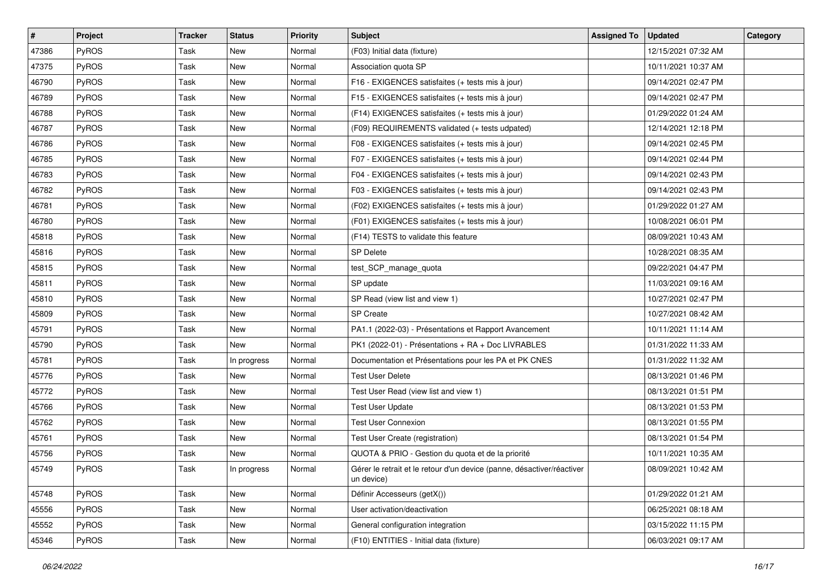| #     | Project      | <b>Tracker</b> | <b>Status</b> | <b>Priority</b> | <b>Subject</b>                                                                       | <b>Assigned To</b> | <b>Updated</b>      | Category |
|-------|--------------|----------------|---------------|-----------------|--------------------------------------------------------------------------------------|--------------------|---------------------|----------|
| 47386 | <b>PyROS</b> | Task           | New           | Normal          | (F03) Initial data (fixture)                                                         |                    | 12/15/2021 07:32 AM |          |
| 47375 | PyROS        | Task           | New           | Normal          | Association quota SP                                                                 |                    | 10/11/2021 10:37 AM |          |
| 46790 | PyROS        | Task           | New           | Normal          | F16 - EXIGENCES satisfaites (+ tests mis à jour)                                     |                    | 09/14/2021 02:47 PM |          |
| 46789 | <b>PyROS</b> | Task           | New           | Normal          | F15 - EXIGENCES satisfaites (+ tests mis à jour)                                     |                    | 09/14/2021 02:47 PM |          |
| 46788 | <b>PyROS</b> | Task           | New           | Normal          | (F14) EXIGENCES satisfaites (+ tests mis à jour)                                     |                    | 01/29/2022 01:24 AM |          |
| 46787 | PyROS        | Task           | New           | Normal          | (F09) REQUIREMENTS validated (+ tests udpated)                                       |                    | 12/14/2021 12:18 PM |          |
| 46786 | PyROS        | Task           | New           | Normal          | F08 - EXIGENCES satisfaites (+ tests mis à jour)                                     |                    | 09/14/2021 02:45 PM |          |
| 46785 | <b>PyROS</b> | Task           | New           | Normal          | F07 - EXIGENCES satisfaites (+ tests mis à jour)                                     |                    | 09/14/2021 02:44 PM |          |
| 46783 | <b>PyROS</b> | Task           | New           | Normal          | F04 - EXIGENCES satisfaites (+ tests mis à jour)                                     |                    | 09/14/2021 02:43 PM |          |
| 46782 | <b>PyROS</b> | Task           | New           | Normal          | F03 - EXIGENCES satisfaites (+ tests mis à jour)                                     |                    | 09/14/2021 02:43 PM |          |
| 46781 | <b>PyROS</b> | Task           | New           | Normal          | (F02) EXIGENCES satisfaites (+ tests mis à jour)                                     |                    | 01/29/2022 01:27 AM |          |
| 46780 | PyROS        | Task           | New           | Normal          | (F01) EXIGENCES satisfaites (+ tests mis à jour)                                     |                    | 10/08/2021 06:01 PM |          |
| 45818 | <b>PyROS</b> | Task           | New           | Normal          | (F14) TESTS to validate this feature                                                 |                    | 08/09/2021 10:43 AM |          |
| 45816 | <b>PyROS</b> | Task           | New           | Normal          | <b>SP Delete</b>                                                                     |                    | 10/28/2021 08:35 AM |          |
| 45815 | PyROS        | Task           | New           | Normal          | test_SCP_manage_quota                                                                |                    | 09/22/2021 04:47 PM |          |
| 45811 | PyROS        | Task           | New           | Normal          | SP update                                                                            |                    | 11/03/2021 09:16 AM |          |
| 45810 | <b>PyROS</b> | Task           | New           | Normal          | SP Read (view list and view 1)                                                       |                    | 10/27/2021 02:47 PM |          |
| 45809 | <b>PyROS</b> | Task           | New           | Normal          | <b>SP</b> Create                                                                     |                    | 10/27/2021 08:42 AM |          |
| 45791 | <b>PyROS</b> | Task           | New           | Normal          | PA1.1 (2022-03) - Présentations et Rapport Avancement                                |                    | 10/11/2021 11:14 AM |          |
| 45790 | <b>PyROS</b> | Task           | New           | Normal          | PK1 (2022-01) - Présentations + RA + Doc LIVRABLES                                   |                    | 01/31/2022 11:33 AM |          |
| 45781 | <b>PyROS</b> | Task           | In progress   | Normal          | Documentation et Présentations pour les PA et PK CNES                                |                    | 01/31/2022 11:32 AM |          |
| 45776 | <b>PyROS</b> | Task           | New           | Normal          | <b>Test User Delete</b>                                                              |                    | 08/13/2021 01:46 PM |          |
| 45772 | <b>PyROS</b> | Task           | New           | Normal          | Test User Read (view list and view 1)                                                |                    | 08/13/2021 01:51 PM |          |
| 45766 | PyROS        | Task           | New           | Normal          | <b>Test User Update</b>                                                              |                    | 08/13/2021 01:53 PM |          |
| 45762 | PyROS        | Task           | New           | Normal          | <b>Test User Connexion</b>                                                           |                    | 08/13/2021 01:55 PM |          |
| 45761 | <b>PyROS</b> | Task           | New           | Normal          | Test User Create (registration)                                                      |                    | 08/13/2021 01:54 PM |          |
| 45756 | <b>PyROS</b> | Task           | New           | Normal          | QUOTA & PRIO - Gestion du quota et de la priorité                                    |                    | 10/11/2021 10:35 AM |          |
| 45749 | PyROS        | Task           | In progress   | Normal          | Gérer le retrait et le retour d'un device (panne, désactiver/réactiver<br>un device) |                    | 08/09/2021 10:42 AM |          |
| 45748 | PyROS        | Task           | New           | Normal          | Définir Accesseurs (getX())                                                          |                    | 01/29/2022 01:21 AM |          |
| 45556 | <b>PyROS</b> | Task           | New           | Normal          | User activation/deactivation                                                         |                    | 06/25/2021 08:18 AM |          |
| 45552 | PyROS        | Task           | New           | Normal          | General configuration integration                                                    |                    | 03/15/2022 11:15 PM |          |
| 45346 | PyROS        | Task           | New           | Normal          | (F10) ENTITIES - Initial data (fixture)                                              |                    | 06/03/2021 09:17 AM |          |